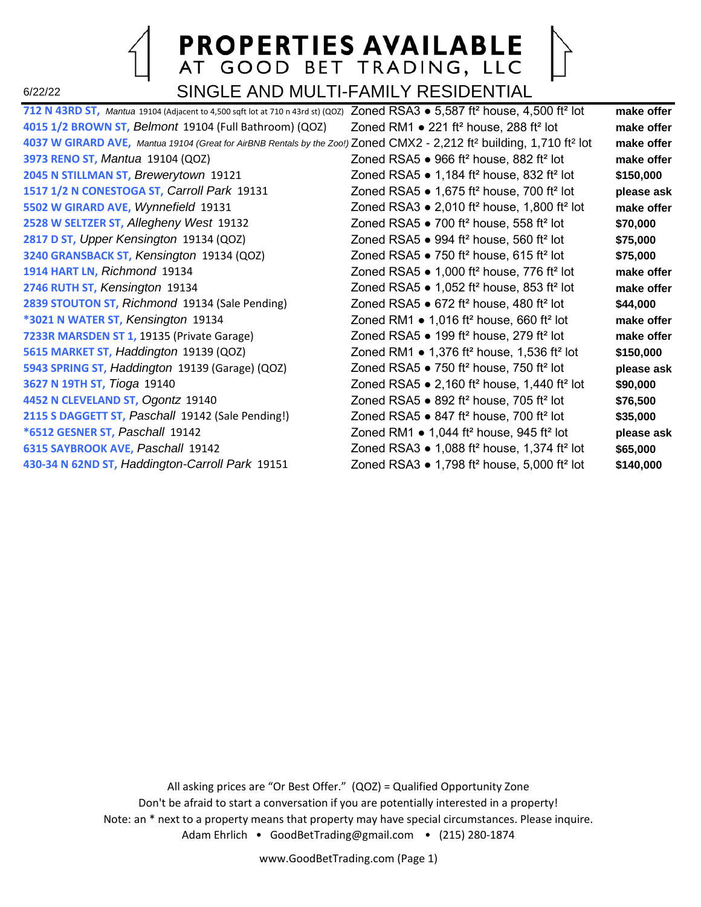# PROPERTIES AVAILABLE<br>AT GOOD BET TRADING, LLC SINGLE AND MULTI-FAMILY RESIDENTIAL

| 712 N 43RD ST, Mantua 19104 (Adjacent to 4,500 sqft lot at 710 n 43rd st) (QOZ) | Zoned RSA3 $\bullet$ 5,587 ft <sup>2</sup> house, 4,500 ft <sup>2</sup> lot | make offer |
|---------------------------------------------------------------------------------|-----------------------------------------------------------------------------|------------|
| 4015 1/2 BROWN ST, Belmont 19104 (Full Bathroom) (QOZ)                          | Zoned RM1 $\bullet$ 221 ft <sup>2</sup> house, 288 ft <sup>2</sup> lot      | make offer |
| 4037 W GIRARD AVE, Mantua 19104 (Great for AirBNB Rentals by the Zoo!)          | Zoned CMX2 - 2,212 ft <sup>2</sup> building, 1,710 ft <sup>2</sup> lot      | make offer |
| 3973 RENO ST, Mantua 19104 (QOZ)                                                | Zoned RSA5 $\bullet$ 966 ft <sup>2</sup> house, 882 ft <sup>2</sup> lot     | make offer |
| 2045 N STILLMAN ST, Brewerytown 19121                                           | Zoned RSA5 $\bullet$ 1,184 ft <sup>2</sup> house, 832 ft <sup>2</sup> lot   | \$150,000  |
| 1517 1/2 N CONESTOGA ST, Carroll Park 19131                                     | Zoned RSA5 $\bullet$ 1,675 ft <sup>2</sup> house, 700 ft <sup>2</sup> lot   | please ask |
| 5502 W GIRARD AVE, Wynnefield 19131                                             | Zoned RSA3 $\bullet$ 2,010 ft <sup>2</sup> house, 1,800 ft <sup>2</sup> lot | make offer |
| 2528 W SELTZER ST, Allegheny West 19132                                         | Zoned RSA5 $\bullet$ 700 ft <sup>2</sup> house, 558 ft <sup>2</sup> lot     | \$70,000   |
| 2817 D ST, Upper Kensington 19134 (QOZ)                                         | Zoned RSA5 $\bullet$ 994 ft <sup>2</sup> house, 560 ft <sup>2</sup> lot     | \$75,000   |
| 3240 GRANSBACK ST, Kensington 19134 (QOZ)                                       | Zoned RSA5 $\bullet$ 750 ft <sup>2</sup> house, 615 ft <sup>2</sup> lot     | \$75,000   |
| 1914 HART LN, Richmond 19134                                                    | Zoned RSA5 $\bullet$ 1,000 ft <sup>2</sup> house, 776 ft <sup>2</sup> lot   | make offer |
| 2746 RUTH ST, Kensington 19134                                                  | Zoned RSA5 $\bullet$ 1,052 ft <sup>2</sup> house, 853 ft <sup>2</sup> lot   | make offer |
| 2839 STOUTON ST, Richmond 19134 (Sale Pending)                                  | Zoned RSA5 $\bullet$ 672 ft <sup>2</sup> house, 480 ft <sup>2</sup> lot     | \$44,000   |
| *3021 N WATER ST, Kensington 19134                                              | Zoned RM1 $\bullet$ 1,016 ft <sup>2</sup> house, 660 ft <sup>2</sup> lot    | make offer |
| 7233R MARSDEN ST 1, 19135 (Private Garage)                                      | Zoned RSA5 $\bullet$ 199 ft <sup>2</sup> house, 279 ft <sup>2</sup> lot     | make offer |
| 5615 MARKET ST, Haddington 19139 (QOZ)                                          | Zoned RM1 $\bullet$ 1,376 ft <sup>2</sup> house, 1,536 ft <sup>2</sup> lot  | \$150,000  |
| 5943 SPRING ST, Haddington 19139 (Garage) (QOZ)                                 | Zoned RSA5 . 750 ft <sup>2</sup> house, 750 ft <sup>2</sup> lot             | please ask |
| 3627 N 19TH ST, Tioga 19140                                                     | Zoned RSA5 $\bullet$ 2,160 ft <sup>2</sup> house, 1,440 ft <sup>2</sup> lot | \$90,000   |
| 4452 N CLEVELAND ST, Ogontz 19140                                               | Zoned RSA5 . 892 ft <sup>2</sup> house, 705 ft <sup>2</sup> lot             | \$76,500   |
| 2115 S DAGGETT ST, Paschall 19142 (Sale Pending!)                               | Zoned RSA5 $\bullet$ 847 ft <sup>2</sup> house, 700 ft <sup>2</sup> lot     | \$35,000   |
| *6512 GESNER ST, Paschall 19142                                                 | Zoned RM1 $\bullet$ 1,044 ft <sup>2</sup> house, 945 ft <sup>2</sup> lot    | please ask |
| 6315 SAYBROOK AVE, Paschall 19142                                               | Zoned RSA3 $\bullet$ 1,088 ft <sup>2</sup> house, 1,374 ft <sup>2</sup> lot | \$65,000   |
| 430-34 N 62ND ST, Haddington-Carroll Park 19151                                 | Zoned RSA3 $\bullet$ 1,798 ft <sup>2</sup> house, 5,000 ft <sup>2</sup> lot | \$140,000  |
|                                                                                 |                                                                             |            |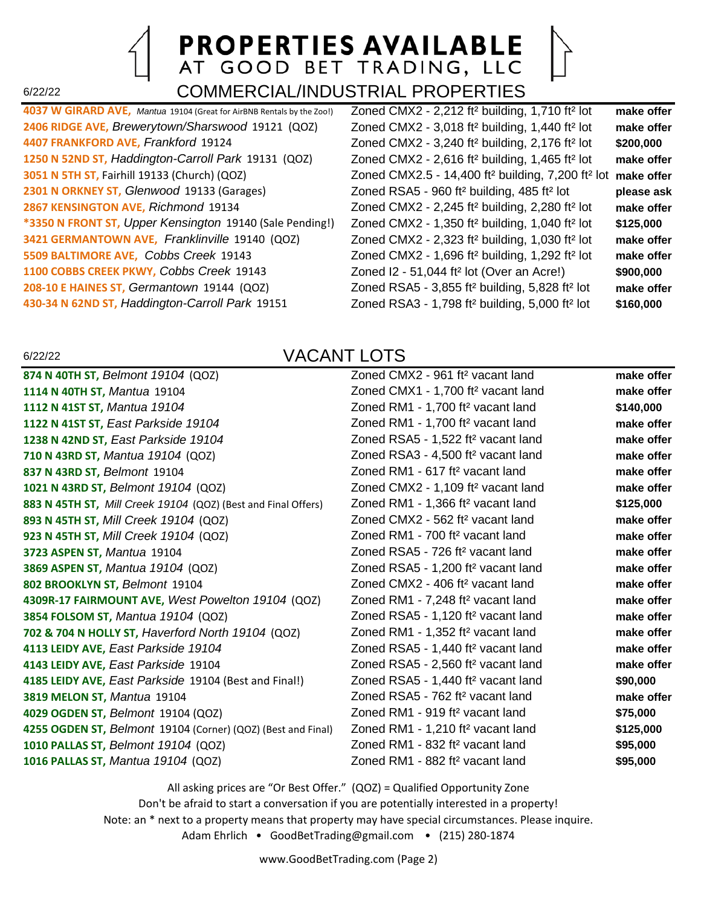#### **PROPERTIES AVAILABLE** AT GOOD BET TRADING, LLC COMMERCIAL/INDUSTRIAL PROPERTIES

**4407 FRANKFORD AVE,** *Frankford* 19124 Zoned CMX2 - 3,240 ft² building, 2,176 ft² lot **\$200,000 \*3350 N FRONT ST,** *Upper Kensington* 19140 (Sale Pending!) Zoned CMX2 - 1,350 ft² building, 1,040 ft² lot **\$125,000 1100 COBBS CREEK PKWY,** *Cobbs Creek* 19143 Zoned I2 - 51,044 ft² lot (Over an Acre!) **\$900,000 430-34 N 62ND ST,** *Haddington-Carroll Park* 19151 Zoned RSA3 - 1,798 ft² building, 5,000 ft² lot **\$160,000**

**4037 W GIRARD AVE,** *Mantua* 19104 (Great for AirBNB Rentals by the Zoo!) Zoned CMX2 - 2,212 ft² building, 1,710 ft² lot **make offer 2406 RIDGE AVE,** *Brewerytown/Sharswood* 19121 (QOZ) Zoned CMX2 - 3,018 ft² building, 1,440 ft² lot **make offer 1250 N 52ND ST,** *Haddington-Carroll Park* 19131 (QOZ) Zoned CMX2 - 2,616 ft² building, 1,465 ft² lot **make offer 3051 N 5TH ST,** Fairhill 19133 (Church) (QOZ) Zoned CMX2.5 - 14,400 ft² building, 7,200 ft² lot **make offer 2301 N ORKNEY ST,** *Glenwood* 19133 (Garages) Zoned RSA5 - 960 ft² building, 485 ft² lot **please ask 2867 KENSINGTON AVE,** *Richmond* 19134 Zoned CMX2 - 2,245 ft² building, 2,280 ft² lot **make offer 3421 GERMANTOWN AVE,** *Franklinville* 19140 (QOZ) Zoned CMX2 - 2,323 ft² building, 1,030 ft² lot **make offer 5509 BALTIMORE AVE,** *Cobbs Creek* 19143 Zoned CMX2 - 1,696 ft² building, 1,292 ft² lot **make offer 208-10 E HAINES ST,** *Germantown* 19144 (QOZ) Zoned RSA5 - 3,855 ft² building, 5,828 ft² lot **make offer**

#### 6/22/22

6/22/22

#### VACANT LOTS

**874 N 40TH ST, Belmont 19104 (QOZ) 1114 N 40TH ST, Mantua 19104 1112 N 41ST ST, Mantua 19104 1122 N 41ST ST, East Parkside 19104 1238 N 42ND ST, East Parkside 19104 710 N 43RD ST, Mantua 19104 (QOZ) 837 N 43RD ST, Belmont 19104** 1021 N 43RD ST, *Belmont 19104* (QOZ) **883 N 45TH ST,** *Mill Creek 19104* **(QOZ) (Best and Final Offers)** 893 N 45TH ST, Mill Creek 19104 (QOZ) **923 N 45TH ST, Mill Creek 19104 (QOZ) 3723 ASPEN ST, Mantua 19104 3869 ASPEN ST, Mantua 19104 (QOZ) 802 BROOKLYN ST, Belmont 19104 4309R-17 FAIRMOUNT AVE,** *West Powelton 19104* **(QOZ) 3854 FOLSOM ST, Mantua 19104 (QOZ) 702 & 704 N HOLLY ST, Haverford North 19104 (QOZ) 4113 LEIDY AVE, East Parkside 19104 4143 LEIDY AVE, East Parkside 19104 4185 LEIDY AVE, East Parkside** 19104 (Best and Final!) **3819 MELON ST, Mantua 19104 4029 OGDEN ST, Belmont 19104 (QOZ) 4255 OGDEN ST, Belmont** 19104 (Corner) (QOZ) (Best and Final) **1010 PALLAS ST, Belmont 19104 (QOZ) 1016 PALLAS ST, Mantua 19104 (QOZ)** 

| Zoned CMX2 - 961 ft <sup>2</sup> vacant land   | make offer |
|------------------------------------------------|------------|
| Zoned CMX1 - 1,700 ft <sup>2</sup> vacant land | make offer |
| Zoned RM1 - 1,700 ft <sup>2</sup> vacant land  | \$140,000  |
| Zoned RM1 - 1,700 ft <sup>2</sup> vacant land  | make offer |
| Zoned RSA5 - 1,522 ft <sup>2</sup> vacant land | make offer |
| Zoned RSA3 - 4,500 ft <sup>2</sup> vacant land | make offer |
| Zoned RM1 - 617 ft <sup>2</sup> vacant land    | make offer |
| Zoned CMX2 - 1,109 ft <sup>2</sup> vacant land | make offer |
| Zoned RM1 - 1,366 ft <sup>2</sup> vacant land  | \$125,000  |
| Zoned CMX2 - 562 ft <sup>2</sup> vacant land   | make offer |
| Zoned RM1 - 700 ft <sup>2</sup> vacant land    | make offer |
| Zoned RSA5 - 726 ft <sup>2</sup> vacant land   | make offer |
| Zoned RSA5 - 1,200 ft <sup>2</sup> vacant land | make offer |
| Zoned CMX2 - 406 ft <sup>2</sup> vacant land   | make offer |
| Zoned RM1 - 7,248 ft <sup>2</sup> vacant land  | make offer |
| Zoned RSA5 - 1,120 ft <sup>2</sup> vacant land | make offer |
| Zoned RM1 - 1,352 ft <sup>2</sup> vacant land  | make offer |
| Zoned RSA5 - 1,440 ft <sup>2</sup> vacant land | make offer |
| Zoned RSA5 - 2,560 ft <sup>2</sup> vacant land | make offer |
| Zoned RSA5 - 1,440 ft <sup>2</sup> vacant land | \$90,000   |
| Zoned RSA5 - 762 ft <sup>2</sup> vacant land   | make offer |
| Zoned RM1 - 919 ft <sup>2</sup> vacant land    | \$75,000   |
| Zoned RM1 - 1,210 ft <sup>2</sup> vacant land  | \$125,000  |
| Zoned RM1 - 832 ft <sup>2</sup> vacant land    | \$95,000   |
| Zoned RM1 - 882 ft <sup>2</sup> vacant land    | \$95,000   |
|                                                |            |

All asking prices are "Or Best Offer." (QOZ) = Qualified Opportunity Zone Don't be afraid to start a conversation if you are potentially interested in a property! Note: an \* next to a property means that property may have special circumstances. Please inquire. Adam Ehrlich • GoodBetTrading@gmail.com • (215) 280-1874

www.GoodBetTrading.com (Page 2)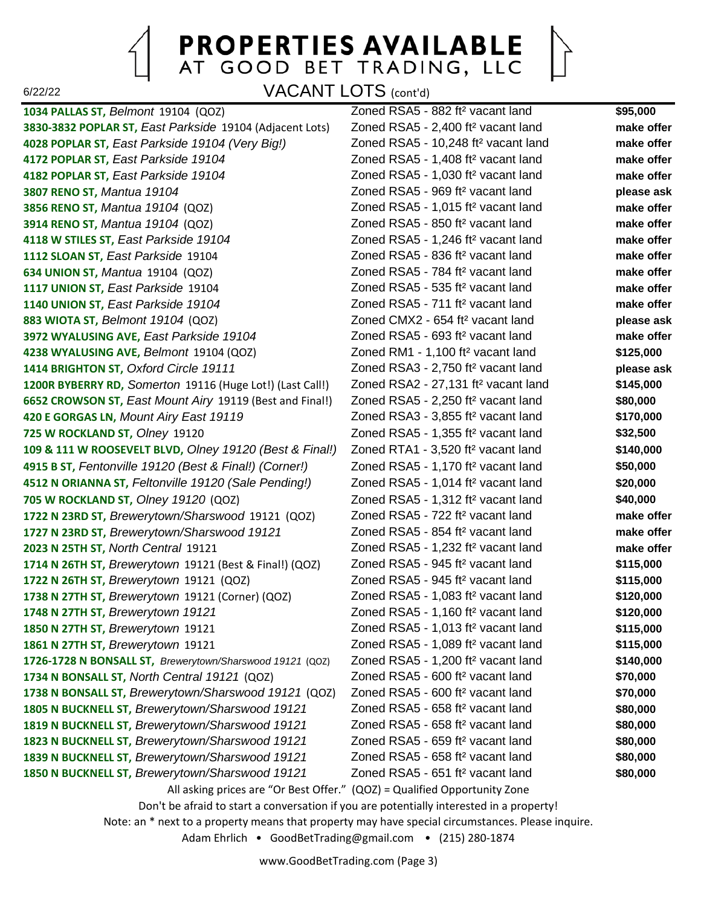

### **PROPERTIES AVAILABLE** AT GOOD BET TRADING, LLC

VACANT LOTS (cont'd)

**1034 PALLAS ST,** *Belmont* 19104 (QOZ) Zoned RSA5 - 882 ft² vacant land **\$95,000 3830-3832 POPLAR ST,** *East Parkside* 19104 (Adjacent Lots) Zoned RSA5 - 2,400 ft² vacant land **make offer 4028 POPLAR ST,** *East Parkside 19104 (Very Big!)* Zoned RSA5 - 10,248 ft² vacant land **make offer 4172 POPLAR ST,** *East Parkside 19104* Zoned RSA5 - 1,408 ft² vacant land **make offer 4182 POPLAR ST,** *East Parkside 19104* Zoned RSA5 - 1,030 ft² vacant land **make offer 3807 RENO ST,** *Mantua 19104* Zoned RSA5 - 969 ft² vacant land **please ask 3856 RENO ST,** *Mantua 19104* (QOZ) Zoned RSA5 - 1,015 ft² vacant land **make offer 3914 RENO ST,** *Mantua 19104* (QOZ) Zoned RSA5 - 850 ft² vacant land **make offer 4118 W STILES ST,** *East Parkside 19104* Zoned RSA5 - 1,246 ft² vacant land **make offer 1112 SLOAN ST,** *East Parkside* 19104 Zoned RSA5 - 836 ft² vacant land **make offer 634 UNION ST,** *Mantua* 19104 (QOZ) Zoned RSA5 - 784 ft² vacant land **make offer 1117 UNION ST,** *East Parkside* 19104 Zoned RSA5 - 535 ft² vacant land **make offer 1140 UNION ST,** *East Parkside 19104* Zoned RSA5 - 711 ft² vacant land **make offer 883 WIOTA ST,** *Belmont 19104* (QOZ) Zoned CMX2 - 654 ft² vacant land **please ask 3972 WYALUSING AVE,** *East Parkside 19104* Zoned RSA5 - 693 ft² vacant land **make offer 4238 WYALUSING AVE,** *Belmont* 19104 (QOZ) Zoned RM1 - 1,100 ft² vacant land **\$125,000 1414 BRIGHTON ST,** *Oxford Circle 19111* Zoned RSA3 - 2,750 ft² vacant land **please ask 1200R BYBERRY RD,** *Somerton* 19116 (Huge Lot!) (Last Call!) Zoned RSA2 - 27,131 ft² vacant land **\$145,000 6652 CROWSON ST,** *East Mount Airy* 19119 (Best and Final!) Zoned RSA5 - 2,250 ft² vacant land **\$80,000 420 E GORGAS LN,** *Mount Airy East 19119* Zoned RSA3 - 3,855 ft² vacant land **\$170,000 725 W ROCKLAND ST,** *Olney* 19120 Zoned RSA5 - 1,355 ft² vacant land **\$32,500 109 & 111 W ROOSEVELT BLVD,** *Olney 19120 (Best & Final!)* Zoned RTA1 - 3,520 ft² vacant land **\$140,000 4915 B ST,** *Fentonville 19120 (Best & Final!) (Corner!)* Zoned RSA5 - 1,170 ft² vacant land **\$50,000 4512 N ORIANNA ST,** *Feltonville 19120 (Sale Pending!)* Zoned RSA5 - 1,014 ft² vacant land **\$20,000 705 W ROCKLAND ST,** *Olney 19120* (QOZ) Zoned RSA5 - 1,312 ft² vacant land **\$40,000 1722 N 23RD ST,** *Brewerytown/Sharswood* 19121 (QOZ) Zoned RSA5 - 722 ft² vacant land **make offer 1727 N 23RD ST,** *Brewerytown/Sharswood 19121* Zoned RSA5 - 854 ft² vacant land **make offer 2023 N 25TH ST,** *North Central* 19121 Zoned RSA5 - 1,232 ft² vacant land **make offer 1714 N 26TH ST,** *Brewerytown* 19121 (Best & Final!) (QOZ) Zoned RSA5 - 945 ft² vacant land **\$115,000 1722 N 26TH ST,** *Brewerytown* 19121 (QOZ) Zoned RSA5 - 945 ft² vacant land **\$115,000 1738 N 27TH ST,** *Brewerytown* 19121 (Corner) (QOZ) Zoned RSA5 - 1,083 ft² vacant land **\$120,000 1748 N 27TH ST,** *Brewerytown 19121* Zoned RSA5 - 1,160 ft² vacant land **\$120,000 1850 N 27TH ST,** *Brewerytown* 19121 Zoned RSA5 - 1,013 ft² vacant land **\$115,000 1861 N 27TH ST,** *Brewerytown* 19121 Zoned RSA5 - 1,089 ft² vacant land **\$115,000 1726-1728 N BONSALL ST,** *Brewerytown/Sharswood 19121* (QOZ) Zoned RSA5 - 1,200 ft² vacant land **\$140,000 1734 N BONSALL ST,** *North Central 19121* (QOZ) Zoned RSA5 - 600 ft² vacant land **\$70,000 1738 N BONSALL ST,** *Brewerytown/Sharswood 19121* (QOZ) Zoned RSA5 - 600 ft² vacant land **\$70,000 1805 N BUCKNELL ST,** *Brewerytown/Sharswood 19121* Zoned RSA5 - 658 ft² vacant land **\$80,000 1819 N BUCKNELL ST,** *Brewerytown/Sharswood 19121* Zoned RSA5 - 658 ft² vacant land **\$80,000 1823 N BUCKNELL ST,** *Brewerytown/Sharswood 19121* Zoned RSA5 - 659 ft² vacant land **\$80,000 1839 N BUCKNELL ST,** *Brewerytown/Sharswood 19121* Zoned RSA5 - 658 ft² vacant land **\$80,000 1850 N BUCKNELL ST,** *Brewerytown/Sharswood 19121* Zoned RSA5 - 651 ft² vacant land **\$80,000** All asking prices are "Or Best Offer." (QOZ) = Qualified Opportunity Zone

Don't be afraid to start a conversation if you are potentially interested in a property! Note: an \* next to a property means that property may have special circumstances. Please inquire.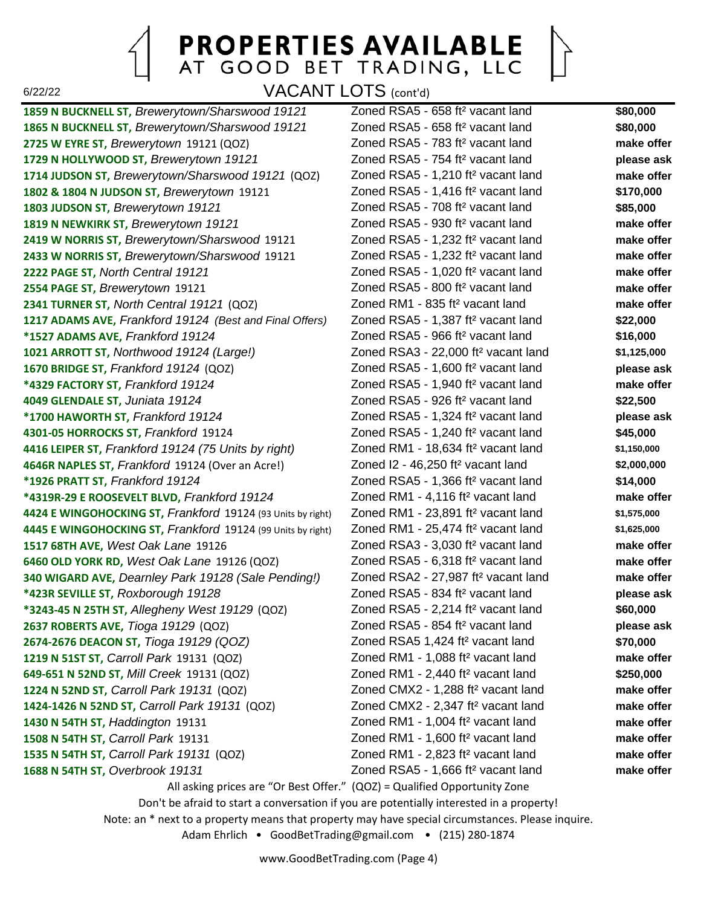

### **PROPERTIES AVAILABLE** AT GOOD BET TRADING, LLC

VACANT LOTS (cont'd)

**1859 N BUCKNELL ST,** *Brewerytown/Sharswood 19121* Zoned RSA5 - 658 ft² vacant land **\$80,000 1865 N BUCKNELL ST,** *Brewerytown/Sharswood 19121* Zoned RSA5 - 658 ft² vacant land **\$80,000 2725 W EYRE ST,** *Brewerytown* 19121 (QOZ) Zoned RSA5 - 783 ft² vacant land **make offer 1729 N HOLLYWOOD ST,** *Brewerytown 19121* Zoned RSA5 - 754 ft² vacant land **please ask 1714 JUDSON ST,** *Brewerytown/Sharswood 19121* (QOZ) Zoned RSA5 - 1,210 ft² vacant land **make offer 1802 & 1804 N JUDSON ST,** *Brewerytown* 19121 Zoned RSA5 - 1,416 ft² vacant land **\$170,000 1803 JUDSON ST,** *Brewerytown 19121* Zoned RSA5 - 708 ft² vacant land **\$85,000 1819 N NEWKIRK ST,** *Brewerytown 19121* Zoned RSA5 - 930 ft² vacant land **make offer 2419 W NORRIS ST,** *Brewerytown/Sharswood* 19121 Zoned RSA5 - 1,232 ft² vacant land **make offer 2433 W NORRIS ST,** *Brewerytown/Sharswood* 19121 Zoned RSA5 - 1,232 ft² vacant land **make offer 2222 PAGE ST,** *North Central 19121* Zoned RSA5 - 1,020 ft² vacant land **make offer 2554 PAGE ST,** *Brewerytown* 19121 Zoned RSA5 - 800 ft² vacant land **make offer 2341 TURNER ST,** *North Central 19121* (QOZ) Zoned RM1 - 835 ft² vacant land **make offer 1217 ADAMS AVE,** *Frankford 19124 (Best and Final Offers)* Zoned RSA5 - 1,387 ft² vacant land **\$22,000 \*1527 ADAMS AVE,** *Frankford 19124* Zoned RSA5 - 966 ft² vacant land **\$16,000 1021 ARROTT ST,** *Northwood 19124 (Large!)* Zoned RSA3 - 22,000 ft² vacant land **\$1,125,000 1670 BRIDGE ST,** *Frankford 19124* (QOZ) Zoned RSA5 - 1,600 ft² vacant land **please ask \*4329 FACTORY ST,** *Frankford 19124* Zoned RSA5 - 1,940 ft² vacant land **make offer 4049 GLENDALE ST,** *Juniata 19124* Zoned RSA5 - 926 ft² vacant land **\$22,500 \*1700 HAWORTH ST,** *Frankford 19124* Zoned RSA5 - 1,324 ft² vacant land **please ask 4301-05 HORROCKS ST,** *Frankford* 19124 Zoned RSA5 - 1,240 ft² vacant land **\$45,000 4416 LEIPER ST,** *Frankford 19124 (75 Units by right)* Zoned RM1 - 18,634 ft² vacant land **\$1,150,000 4646R NAPLES ST,** *Frankford* 19124 (Over an Acre!) Zoned I2 - 46,250 ft² vacant land **\$2,000,000 \*1926 PRATT ST,** *Frankford 19124* Zoned RSA5 - 1,366 ft² vacant land **\$14,000 \*4319R-29 E ROOSEVELT BLVD,** *Frankford 19124* Zoned RM1 - 4,116 ft² vacant land **make offer 4424 E WINGOHOCKING ST,** *Frankford* 19124 (93 Units by right) Zoned RM1 - 23,891 ft² vacant land **\$1,575,000 4445 E WINGOHOCKING ST,** *Frankford* 19124 (99 Units by right) Zoned RM1 - 25,474 ft² vacant land **\$1,625,000 1517 68TH AVE,** *West Oak Lane* 19126 Zoned RSA3 - 3,030 ft² vacant land **make offer 6460 OLD YORK RD,** *West Oak Lane* 19126 (QOZ) Zoned RSA5 - 6,318 ft² vacant land **make offer 340 WIGARD AVE,** *Dearnley Park 19128 (Sale Pending!)* Zoned RSA2 - 27,987 ft² vacant land **make offer \*423R SEVILLE ST,** *Roxborough 19128* Zoned RSA5 - 834 ft² vacant land **please ask \*3243-45 N 25TH ST,** *Allegheny West 19129* (QOZ) Zoned RSA5 - 2,214 ft² vacant land **\$60,000 2637 ROBERTS AVE,** *Tioga 19129* (QOZ) Zoned RSA5 - 854 ft² vacant land **please ask 2674-2676 DEACON ST,** *Tioga 19129 (QOZ)* Zoned RSA5 1,424 ft² vacant land **\$70,000 1219 N 51ST ST,** *Carroll Park* 19131 (QOZ) Zoned RM1 - 1,088 ft² vacant land **make offer 649-651 N 52ND ST,** *Mill Creek* 19131 (QOZ) Zoned RM1 - 2,440 ft² vacant land **\$250,000 1224 N 52ND ST,** *Carroll Park 19131* (QOZ) Zoned CMX2 - 1,288 ft² vacant land **make offer 1424-1426 N 52ND ST,** *Carroll Park 19131* (QOZ) Zoned CMX2 - 2,347 ft² vacant land **make offer 1430 N 54TH ST,** *Haddington* 19131 Zoned RM1 - 1,004 ft² vacant land **make offer 1508 N 54TH ST,** *Carroll Park* 19131 Zoned RM1 - 1,600 ft² vacant land **make offer 1535 N 54TH ST,** *Carroll Park 19131* (QOZ) Zoned RM1 - 2,823 ft² vacant land **make offer 1688 N 54TH ST,** *Overbrook 19131* Zoned RSA5 - 1,666 ft² vacant land **make offer**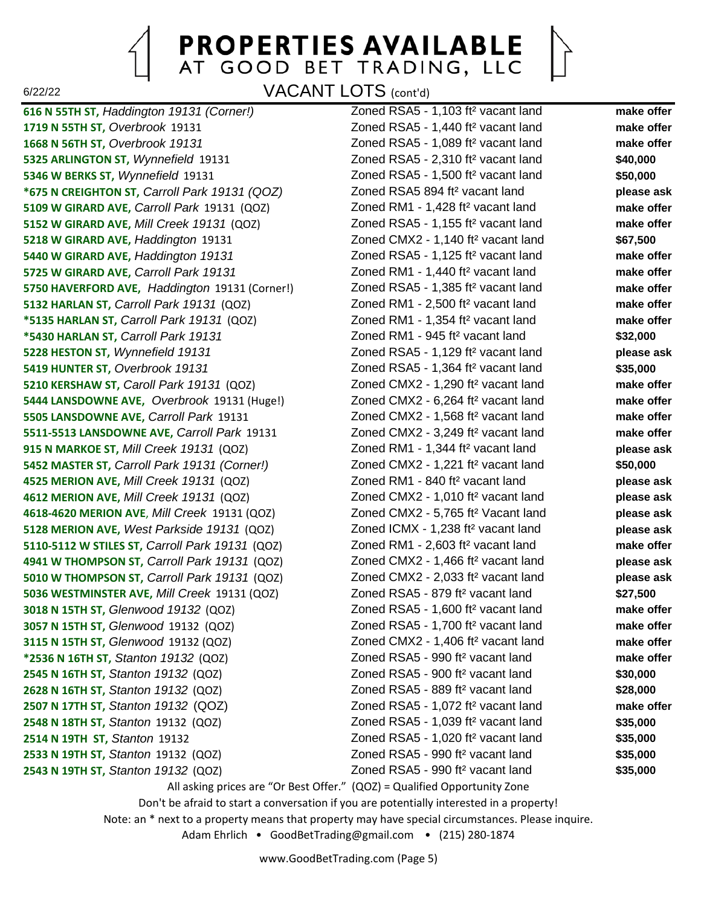

#### **PROPERTIES AVAILABLE** AT GOOD BET TRADING, LLC

VACANT LOTS (cont'd)

**616 N 55TH ST,** *Haddington 19131 (Corner!)* Zoned RSA5 - 1,103 ft² vacant land **make offer 1719 N 55TH ST,** *Overbrook* 19131 Zoned RSA5 - 1,440 ft² vacant land **make offer 1668 N 56TH ST,** *Overbrook 19131* Zoned RSA5 - 1,089 ft² vacant land **make offer 5325 ARLINGTON ST,** *Wynnefield* 19131 Zoned RSA5 - 2,310 ft² vacant land **\$40,000 5346 W BERKS ST,** *Wynnefield* 19131 Zoned RSA5 - 1,500 ft² vacant land **\$50,000 \*675 N CREIGHTON ST,** *Carroll Park 19131 (QOZ)* Zoned RSA5 894 ft² vacant land **please ask 5109 W GIRARD AVE,** *Carroll Park* 19131 (QOZ) Zoned RM1 - 1,428 ft² vacant land **make offer 5152 W GIRARD AVE,** *Mill Creek 19131* (QOZ) Zoned RSA5 - 1,155 ft² vacant land **make offer 5218 W GIRARD AVE,** *Haddington* 19131 Zoned CMX2 - 1,140 ft² vacant land **\$67,500 5440 W GIRARD AVE,** *Haddington 19131* Zoned RSA5 - 1,125 ft² vacant land **make offer 5725 W GIRARD AVE,** *Carroll Park 19131* Zoned RM1 - 1,440 ft² vacant land **make offer 5750 HAVERFORD AVE,** *Haddington* 19131 (Corner!) Zoned RSA5 - 1,385 ft² vacant land **make offer 5132 HARLAN ST,** *Carroll Park 19131* (QOZ) Zoned RM1 - 2,500 ft² vacant land **make offer \*5135 HARLAN ST,** *Carroll Park 19131* (QOZ) Zoned RM1 - 1,354 ft² vacant land **make offer \*5430 HARLAN ST,** *Carroll Park 19131* Zoned RM1 - 945 ft² vacant land **\$32,000 5228 HESTON ST,** *Wynnefield 19131* Zoned RSA5 - 1,129 ft² vacant land **please ask 5419 HUNTER ST,** *Overbrook 19131* Zoned RSA5 - 1,364 ft² vacant land **\$35,000 5210 KERSHAW ST,** *Caroll Park 19131* (QOZ) Zoned CMX2 - 1,290 ft² vacant land **make offer 5444 LANSDOWNE AVE,** *Overbrook* 19131 (Huge!) Zoned CMX2 - 6,264 ft² vacant land **make offer 5505 LANSDOWNE AVE,** *Carroll Park* 19131 Zoned CMX2 - 1,568 ft² vacant land **make offer 5511-5513 LANSDOWNE AVE,** *Carroll Park* 19131 Zoned CMX2 - 3,249 ft² vacant land **make offer 915 N MARKOE ST,** *Mill Creek 19131* (QOZ) Zoned RM1 - 1,344 ft² vacant land **please ask 5452 MASTER ST,** *Carroll Park 19131 (Corner!)* Zoned CMX2 - 1,221 ft² vacant land **\$50,000 4525 MERION AVE,** *Mill Creek 19131* (QOZ) Zoned RM1 - 840 ft² vacant land **please ask 4612 MERION AVE,** *Mill Creek 19131* (QOZ) Zoned CMX2 - 1,010 ft² vacant land **please ask 4618-4620 MERION AVE**, *Mill Creek* 19131 (QOZ) Zoned CMX2 - 5,765 ft² Vacant land **please ask 5128 MERION AVE,** *West Parkside 19131* (QOZ) Zoned ICMX - 1,238 ft² vacant land **please ask 5110-5112 W STILES ST,** *Carroll Park 19131* (QOZ) Zoned RM1 - 2,603 ft² vacant land **make offer 4941 W THOMPSON ST,** *Carroll Park 19131* (QOZ) Zoned CMX2 - 1,466 ft² vacant land **please ask 5010 W THOMPSON ST,** *Carroll Park 19131* (QOZ) Zoned CMX2 - 2,033 ft² vacant land **please ask 5036 WESTMINSTER AVE,** *Mill Creek* 19131 (QOZ) Zoned RSA5 - 879 ft² vacant land **\$27,500 3018 N 15TH ST,** *Glenwood 19132* (QOZ) Zoned RSA5 - 1,600 ft² vacant land **make offer 3057 N 15TH ST,** *Glenwood* 19132 (QOZ) Zoned RSA5 - 1,700 ft² vacant land **make offer 3115 N 15TH ST,** *Glenwood* 19132 (QOZ) Zoned CMX2 - 1,406 ft² vacant land **make offer \*2536 N 16TH ST,** *Stanton 19132* (QOZ) Zoned RSA5 - 990 ft² vacant land **make offer 2545 N 16TH ST,** *Stanton 19132* (QOZ) Zoned RSA5 - 900 ft² vacant land **\$30,000 2628 N 16TH ST,** *Stanton 19132* (QOZ) Zoned RSA5 - 889 ft² vacant land **\$28,000 2507 N 17TH ST,** *Stanton 19132* (QOZ) Zoned RSA5 - 1,072 ft² vacant land **make offer 2548 N 18TH ST,** *Stanton* 19132 (QOZ) Zoned RSA5 - 1,039 ft² vacant land **\$35,000 2514 N 19TH ST,** *Stanton* 19132 Zoned RSA5 - 1,020 ft² vacant land **\$35,000 2533 N 19TH ST,** *Stanton* 19132 (QOZ) Zoned RSA5 - 990 ft² vacant land **\$35,000 2543 N 19TH ST,** *Stanton 19132* (QOZ) Zoned RSA5 - 990 ft² vacant land **\$35,000**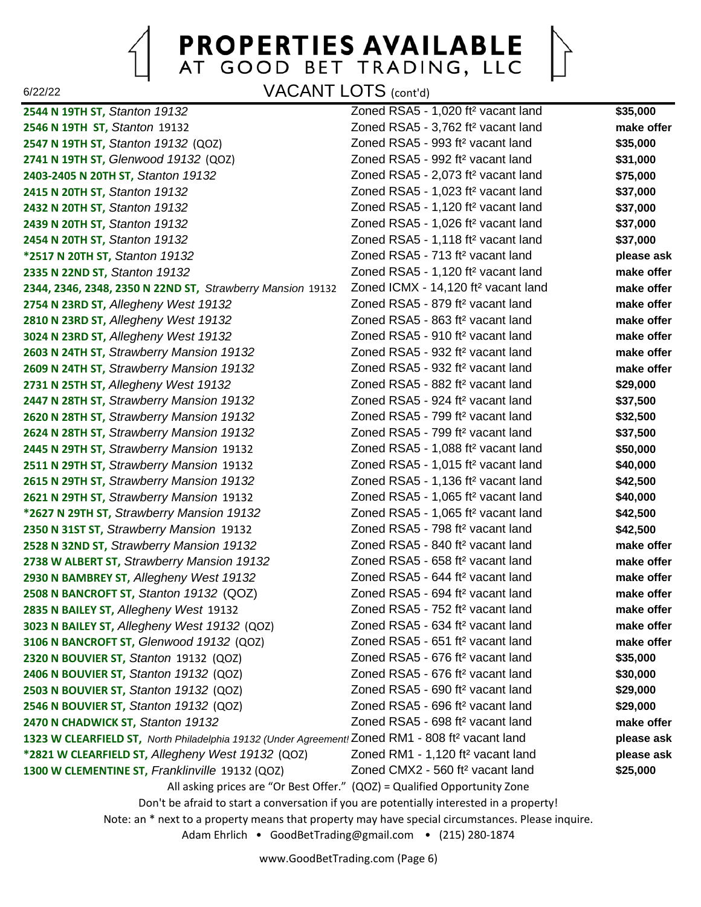

PROPERTIES AVAILABLE<br>AT GOOD BET TRADING, LLC

 $\sum_{i=1}^{n}$ 

VACANT LOTS (cont'd)

| 2544 N 19TH ST, Stanton 19132                                                                                | Zoned RSA5 - 1,020 ft <sup>2</sup> vacant land  | \$35,000   |  |
|--------------------------------------------------------------------------------------------------------------|-------------------------------------------------|------------|--|
| 2546 N 19TH ST, Stanton 19132                                                                                | Zoned RSA5 - 3,762 ft <sup>2</sup> vacant land  | make offer |  |
| 2547 N 19TH ST, Stanton 19132 (QOZ)                                                                          | Zoned RSA5 - 993 ft <sup>2</sup> vacant land    | \$35,000   |  |
| 2741 N 19TH ST, Glenwood 19132 (QOZ)                                                                         | Zoned RSA5 - 992 ft <sup>2</sup> vacant land    | \$31,000   |  |
| 2403-2405 N 20TH ST, Stanton 19132                                                                           | Zoned RSA5 - 2,073 ft <sup>2</sup> vacant land  | \$75,000   |  |
| 2415 N 20TH ST, Stanton 19132                                                                                | Zoned RSA5 - 1,023 ft <sup>2</sup> vacant land  | \$37,000   |  |
| 2432 N 20TH ST, Stanton 19132                                                                                | Zoned RSA5 - 1,120 ft <sup>2</sup> vacant land  | \$37,000   |  |
| 2439 N 20TH ST, Stanton 19132                                                                                | Zoned RSA5 - 1,026 ft <sup>2</sup> vacant land  | \$37,000   |  |
| 2454 N 20TH ST, Stanton 19132                                                                                | Zoned RSA5 - 1,118 ft <sup>2</sup> vacant land  | \$37,000   |  |
| *2517 N 20TH ST, Stanton 19132                                                                               | Zoned RSA5 - 713 ft <sup>2</sup> vacant land    | please ask |  |
| 2335 N 22ND ST, Stanton 19132                                                                                | Zoned RSA5 - 1,120 ft <sup>2</sup> vacant land  | make offer |  |
| 2344, 2346, 2348, 2350 N 22ND ST, Strawberry Mansion 19132                                                   | Zoned ICMX - 14,120 ft <sup>2</sup> vacant land | make offer |  |
| 2754 N 23RD ST, Allegheny West 19132                                                                         | Zoned RSA5 - 879 ft <sup>2</sup> vacant land    | make offer |  |
| 2810 N 23RD ST, Allegheny West 19132                                                                         | Zoned RSA5 - 863 ft <sup>2</sup> vacant land    | make offer |  |
| 3024 N 23RD ST, Allegheny West 19132                                                                         | Zoned RSA5 - 910 ft <sup>2</sup> vacant land    | make offer |  |
| 2603 N 24TH ST, Strawberry Mansion 19132                                                                     | Zoned RSA5 - 932 ft <sup>2</sup> vacant land    | make offer |  |
| 2609 N 24TH ST, Strawberry Mansion 19132                                                                     | Zoned RSA5 - 932 ft <sup>2</sup> vacant land    | make offer |  |
| 2731 N 25TH ST, Allegheny West 19132                                                                         | Zoned RSA5 - 882 ft <sup>2</sup> vacant land    | \$29,000   |  |
| 2447 N 28TH ST, Strawberry Mansion 19132                                                                     | Zoned RSA5 - 924 ft <sup>2</sup> vacant land    | \$37,500   |  |
| 2620 N 28TH ST, Strawberry Mansion 19132                                                                     | Zoned RSA5 - 799 ft <sup>2</sup> vacant land    | \$32,500   |  |
| 2624 N 28TH ST, Strawberry Mansion 19132                                                                     | Zoned RSA5 - 799 ft <sup>2</sup> vacant land    | \$37,500   |  |
| 2445 N 29TH ST, Strawberry Mansion 19132                                                                     | Zoned RSA5 - 1,088 ft <sup>2</sup> vacant land  | \$50,000   |  |
| 2511 N 29TH ST, Strawberry Mansion 19132                                                                     | Zoned RSA5 - 1,015 ft <sup>2</sup> vacant land  | \$40,000   |  |
| 2615 N 29TH ST, Strawberry Mansion 19132                                                                     | Zoned RSA5 - 1,136 ft <sup>2</sup> vacant land  | \$42,500   |  |
| 2621 N 29TH ST, Strawberry Mansion 19132                                                                     | Zoned RSA5 - 1,065 ft <sup>2</sup> vacant land  | \$40,000   |  |
| *2627 N 29TH ST, Strawberry Mansion 19132                                                                    | Zoned RSA5 - 1,065 ft <sup>2</sup> vacant land  | \$42,500   |  |
| 2350 N 31ST ST, Strawberry Mansion 19132                                                                     | Zoned RSA5 - 798 ft <sup>2</sup> vacant land    | \$42,500   |  |
| 2528 N 32ND ST, Strawberry Mansion 19132                                                                     | Zoned RSA5 - 840 ft <sup>2</sup> vacant land    | make offer |  |
| 2738 W ALBERT ST, Strawberry Mansion 19132                                                                   | Zoned RSA5 - 658 ft <sup>2</sup> vacant land    | make offer |  |
| 2930 N BAMBREY ST, Allegheny West 19132                                                                      | Zoned RSA5 - 644 ft <sup>2</sup> vacant land    | make offer |  |
| 2508 N BANCROFT ST, Stanton 19132 (QOZ)                                                                      | Zoned RSA5 - 694 ft <sup>2</sup> vacant land    | make offer |  |
| 2835 N BAILEY ST, Allegheny West 19132                                                                       | Zoned RSA5 - 752 ft <sup>2</sup> vacant land    | make offer |  |
| 3023 N BAILEY ST, Allegheny West 19132 (QOZ)                                                                 | Zoned RSA5 - 634 ft <sup>2</sup> vacant land    | make offer |  |
| 3106 N BANCROFT ST, Glenwood 19132 (QOZ)                                                                     | Zoned RSA5 - 651 ft <sup>2</sup> vacant land    | make offer |  |
| 2320 N BOUVIER ST, Stanton 19132 (QOZ)                                                                       | Zoned RSA5 - 676 ft <sup>2</sup> vacant land    | \$35,000   |  |
| 2406 N BOUVIER ST, Stanton 19132 (QOZ)                                                                       | Zoned RSA5 - 676 ft <sup>2</sup> vacant land    | \$30,000   |  |
| 2503 N BOUVIER ST, Stanton 19132 (QOZ)                                                                       | Zoned RSA5 - 690 ft <sup>2</sup> vacant land    | \$29,000   |  |
| 2546 N BOUVIER ST, Stanton 19132 (QOZ)                                                                       | Zoned RSA5 - 696 ft <sup>2</sup> vacant land    | \$29,000   |  |
| 2470 N CHADWICK ST, Stanton 19132                                                                            | Zoned RSA5 - 698 ft <sup>2</sup> vacant land    | make offer |  |
| 1323 W CLEARFIELD ST, North Philadelphia 19132 (Under Agreement: Zoned RM1 - 808 ft <sup>2</sup> vacant land |                                                 | please ask |  |
| *2821 W CLEARFIELD ST, Allegheny West 19132 (QOZ)                                                            | Zoned RM1 - 1,120 ft <sup>2</sup> vacant land   | please ask |  |
| 1300 W CLEMENTINE ST, Franklinville 19132 (QOZ)                                                              | Zoned CMX2 - 560 ft <sup>2</sup> vacant land    | \$25,000   |  |
| All asking prices are "Or Best Offer." (QOZ) = Qualified Opportunity Zone                                    |                                                 |            |  |
| Don't be afraid to start a conversation if you are potentially interested in a property!                     |                                                 |            |  |
| Note: an * next to a property means that property may have special circumstances. Please inquire.            |                                                 |            |  |
|                                                                                                              |                                                 |            |  |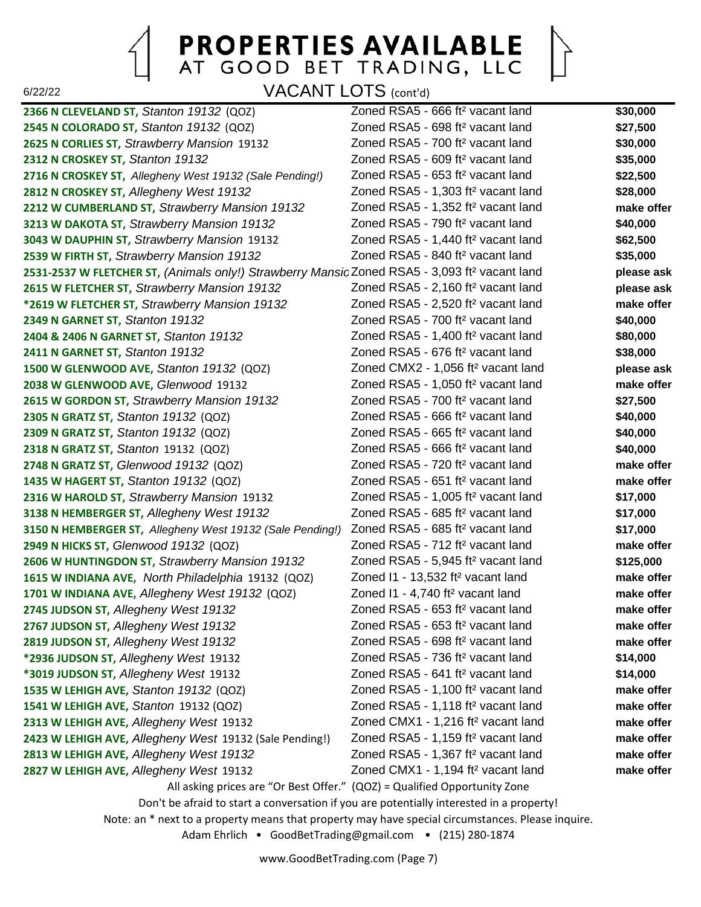# PROPERTIES AVAILABLE<br>AT GOOD BET TRADING, LLC

 $\sum$ 

VACANT LOTS (cont'd)

| 2366 N CLEVELAND ST, Stanton 19132 (QOZ)                                                                  | Zoned RSA5 - 666 ft <sup>2</sup> vacant land                              | \$30,000   |  |
|-----------------------------------------------------------------------------------------------------------|---------------------------------------------------------------------------|------------|--|
| 2545 N COLORADO ST, Stanton 19132 (QOZ)                                                                   | Zoned RSA5 - 698 ft <sup>2</sup> vacant land                              | \$27,500   |  |
| 2625 N CORLIES ST, Strawberry Mansion 19132                                                               | Zoned RSA5 - 700 ft <sup>2</sup> vacant land                              | \$30,000   |  |
| 2312 N CROSKEY ST, Stanton 19132                                                                          | Zoned RSA5 - 609 ft <sup>2</sup> vacant land                              | \$35,000   |  |
| 2716 N CROSKEY ST, Allegheny West 19132 (Sale Pending!)                                                   | Zoned RSA5 - 653 ft <sup>2</sup> vacant land                              | \$22,500   |  |
| 2812 N CROSKEY ST, Allegheny West 19132                                                                   | Zoned RSA5 - 1,303 ft <sup>2</sup> vacant land                            | \$28,000   |  |
| 2212 W CUMBERLAND ST, Strawberry Mansion 19132                                                            | Zoned RSA5 - 1,352 ft <sup>2</sup> vacant land                            | make offer |  |
| 3213 W DAKOTA ST, Strawberry Mansion 19132                                                                | Zoned RSA5 - 790 ft <sup>2</sup> vacant land                              | \$40,000   |  |
| 3043 W DAUPHIN ST, Strawberry Mansion 19132                                                               | Zoned RSA5 - 1,440 ft <sup>2</sup> vacant land                            | \$62,500   |  |
| 2539 W FIRTH ST, Strawberry Mansion 19132                                                                 | Zoned RSA5 - 840 ft <sup>2</sup> vacant land                              | \$35,000   |  |
| 2531-2537 W FLETCHER ST, (Animals only!) Strawberry Mansic Zoned RSA5 - 3,093 ft <sup>2</sup> vacant land |                                                                           | please ask |  |
| 2615 W FLETCHER ST, Strawberry Mansion 19132                                                              | Zoned RSA5 - 2,160 ft <sup>2</sup> vacant land                            | please ask |  |
| *2619 W FLETCHER ST, Strawberry Mansion 19132                                                             | Zoned RSA5 - 2,520 ft <sup>2</sup> vacant land                            | make offer |  |
| 2349 N GARNET ST, Stanton 19132                                                                           | Zoned RSA5 - 700 ft <sup>2</sup> vacant land                              | \$40,000   |  |
| 2404 & 2406 N GARNET ST, Stanton 19132                                                                    | Zoned RSA5 - 1,400 ft <sup>2</sup> vacant land                            | \$80,000   |  |
| 2411 N GARNET ST, Stanton 19132                                                                           | Zoned RSA5 - 676 ft <sup>2</sup> vacant land                              | \$38,000   |  |
| 1500 W GLENWOOD AVE, Stanton 19132 (QOZ)                                                                  | Zoned CMX2 - 1,056 ft <sup>2</sup> vacant land                            | please ask |  |
| 2038 W GLENWOOD AVE, Glenwood 19132                                                                       | Zoned RSA5 - 1,050 ft <sup>2</sup> vacant land                            | make offer |  |
| 2615 W GORDON ST, Strawberry Mansion 19132                                                                | Zoned RSA5 - 700 ft <sup>2</sup> vacant land                              | \$27,500   |  |
| 2305 N GRATZ ST, Stanton 19132 (QOZ)                                                                      | Zoned RSA5 - 666 ft <sup>2</sup> vacant land                              | \$40,000   |  |
| 2309 N GRATZ ST, Stanton 19132 (QOZ)                                                                      | Zoned RSA5 - 665 ft <sup>2</sup> vacant land                              | \$40,000   |  |
| 2318 N GRATZ ST, Stanton 19132 (QOZ)                                                                      | Zoned RSA5 - 666 ft <sup>2</sup> vacant land                              | \$40,000   |  |
| 2748 N GRATZ ST, Glenwood 19132 (QOZ)                                                                     | Zoned RSA5 - 720 ft <sup>2</sup> vacant land                              | make offer |  |
| 1435 W HAGERT ST, Stanton 19132 (QOZ)                                                                     | Zoned RSA5 - 651 ft <sup>2</sup> vacant land                              | make offer |  |
| 2316 W HAROLD ST, Strawberry Mansion 19132                                                                | Zoned RSA5 - 1,005 ft <sup>2</sup> vacant land                            | \$17,000   |  |
| 3138 N HEMBERGER ST, Allegheny West 19132                                                                 | Zoned RSA5 - 685 ft <sup>2</sup> vacant land                              | \$17,000   |  |
| 3150 N HEMBERGER ST, Allegheny West 19132 (Sale Pending!)                                                 | Zoned RSA5 - 685 ft <sup>2</sup> vacant land                              | \$17,000   |  |
| 2949 N HICKS ST, Glenwood 19132 (QOZ)                                                                     | Zoned RSA5 - 712 ft <sup>2</sup> vacant land                              | make offer |  |
| 2606 W HUNTINGDON ST, Strawberry Mansion 19132                                                            | Zoned RSA5 - 5,945 ft <sup>2</sup> vacant land                            | \$125,000  |  |
| 1615 W INDIANA AVE, North Philadelphia 19132 (QOZ)                                                        | Zoned I1 - 13,532 ft <sup>2</sup> vacant land                             | make offer |  |
| 1701 W INDIANA AVE, Allegheny West 19132 (QOZ)                                                            | Zoned I1 - 4,740 ft <sup>2</sup> vacant land                              | make offer |  |
| 2745 JUDSON ST, Allegheny West 19132                                                                      | Zoned RSA5 - 653 ft <sup>2</sup> vacant land                              | make offer |  |
| 2767 JUDSON ST, Allegheny West 19132                                                                      | Zoned RSA5 - 653 ft <sup>2</sup> vacant land                              | make offer |  |
| 2819 JUDSON ST, Allegheny West 19132                                                                      | Zoned RSA5 - 698 ft <sup>2</sup> vacant land                              | make offer |  |
| *2936 JUDSON ST, Allegheny West 19132                                                                     | Zoned RSA5 - 736 ft <sup>2</sup> vacant land                              | \$14,000   |  |
| *3019 JUDSON ST, Allegheny West 19132                                                                     | Zoned RSA5 - 641 ft <sup>2</sup> vacant land                              | \$14,000   |  |
| 1535 W LEHIGH AVE, Stanton 19132 (QOZ)                                                                    | Zoned RSA5 - 1,100 ft <sup>2</sup> vacant land                            | make offer |  |
| 1541 W LEHIGH AVE, Stanton 19132 (QOZ)                                                                    | Zoned RSA5 - 1,118 ft <sup>2</sup> vacant land                            | make offer |  |
| 2313 W LEHIGH AVE, Allegheny West 19132                                                                   | Zoned CMX1 - 1,216 ft <sup>2</sup> vacant land                            | make offer |  |
| 2423 W LEHIGH AVE, Allegheny West 19132 (Sale Pending!)                                                   | Zoned RSA5 - 1,159 ft <sup>2</sup> vacant land                            | make offer |  |
| 2813 W LEHIGH AVE, Allegheny West 19132                                                                   | Zoned RSA5 - 1,367 ft <sup>2</sup> vacant land                            | make offer |  |
| 2827 W LEHIGH AVE, Allegheny West 19132                                                                   | Zoned CMX1 - 1,194 ft <sup>2</sup> vacant land                            | make offer |  |
|                                                                                                           | All asking prices are "Or Best Offer." (QOZ) = Qualified Opportunity Zone |            |  |
| Don't be afraid to start a conversation if you are potentially interested in a property!                  |                                                                           |            |  |

Note: an \* next to a property means that property may have special circumstances. Please inquire.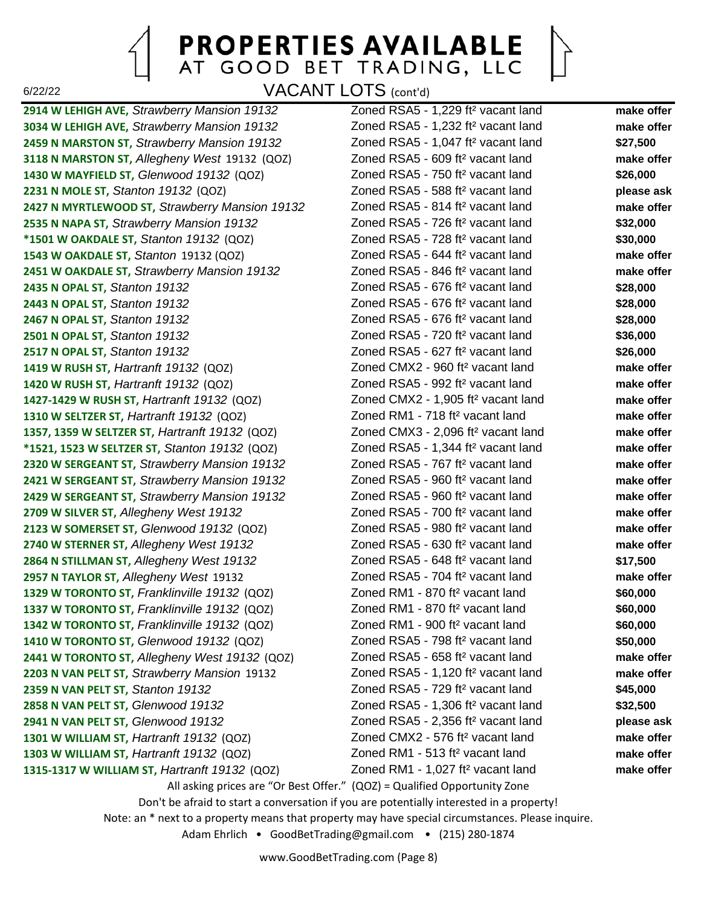### **PROPERTIES AVAILABLE** AT GOOD BET TRADING, LLC

VACANT LOTS (cont'd)

**2914 W LEHIGH AVE,** *Strawberry Mansion 19132* Zoned RSA5 - 1,229 ft² vacant land **make offer 3034 W LEHIGH AVE,** *Strawberry Mansion 19132* Zoned RSA5 - 1,232 ft² vacant land **make offer 2459 N MARSTON ST,** *Strawberry Mansion 19132* Zoned RSA5 - 1,047 ft² vacant land **\$27,500 3118 N MARSTON ST,** *Allegheny West* 19132 (QOZ) Zoned RSA5 - 609 ft² vacant land **make offer 1430 W MAYFIELD ST,** *Glenwood 19132* (QOZ) Zoned RSA5 - 750 ft² vacant land **\$26,000 2231 N MOLE ST,** *Stanton 19132* (QOZ) Zoned RSA5 - 588 ft² vacant land **please ask 2427 N MYRTLEWOOD ST,** *Strawberry Mansion 19132* Zoned RSA5 - 814 ft² vacant land **make offer 2535 N NAPA ST,** *Strawberry Mansion 19132* Zoned RSA5 - 726 ft² vacant land **\$32,000 \*1501 W OAKDALE ST,** *Stanton 19132* (QOZ) Zoned RSA5 - 728 ft² vacant land **\$30,000 1543 W OAKDALE ST,** *Stanton* 19132 (QOZ) Zoned RSA5 - 644 ft² vacant land **make offer 2451 W OAKDALE ST,** *Strawberry Mansion 19132* Zoned RSA5 - 846 ft² vacant land **make offer 2435 N OPAL ST,** *Stanton 19132* Zoned RSA5 - 676 ft² vacant land **\$28,000 2443 N OPAL ST,** *Stanton 19132* Zoned RSA5 - 676 ft² vacant land **\$28,000 2467 N OPAL ST,** *Stanton 19132* Zoned RSA5 - 676 ft² vacant land **\$28,000 2501 N OPAL ST,** *Stanton 19132* Zoned RSA5 - 720 ft² vacant land **\$36,000 2517 N OPAL ST,** *Stanton 19132* Zoned RSA5 - 627 ft² vacant land **\$26,000 1419 W RUSH ST,** *Hartranft 19132* (QOZ) Zoned CMX2 - 960 ft² vacant land **make offer 1420 W RUSH ST,** *Hartranft 19132* (QOZ) Zoned RSA5 - 992 ft² vacant land **make offer 1427-1429 W RUSH ST,** *Hartranft 19132* (QOZ) Zoned CMX2 - 1,905 ft² vacant land **make offer 1310 W SELTZER ST,** *Hartranft 19132* (QOZ) Zoned RM1 - 718 ft² vacant land **make offer 1357, 1359 W SELTZER ST,** *Hartranft 19132* (QOZ) Zoned CMX3 - 2,096 ft² vacant land **make offer \*1521, 1523 W SELTZER ST,** *Stanton 19132* (QOZ) Zoned RSA5 - 1,344 ft² vacant land **make offer 2320 W SERGEANT ST,** *Strawberry Mansion 19132* Zoned RSA5 - 767 ft² vacant land **make offer 2421 W SERGEANT ST,** *Strawberry Mansion 19132* Zoned RSA5 - 960 ft² vacant land **make offer 2429 W SERGEANT ST,** *Strawberry Mansion 19132* Zoned RSA5 - 960 ft² vacant land **make offer 2709 W SILVER ST,** *Allegheny West 19132* Zoned RSA5 - 700 ft² vacant land **make offer 2123 W SOMERSET ST,** *Glenwood 19132* (QOZ) Zoned RSA5 - 980 ft² vacant land **make offer 2740 W STERNER ST,** *Allegheny West 19132* Zoned RSA5 - 630 ft² vacant land **make offer 2864 N STILLMAN ST,** *Allegheny West 19132* Zoned RSA5 - 648 ft² vacant land **\$17,500 2957 N TAYLOR ST,** *Allegheny West* 19132 Zoned RSA5 - 704 ft² vacant land **make offer 1329 W TORONTO ST,** *Franklinville 19132* (QOZ) Zoned RM1 - 870 ft² vacant land **\$60,000 1337 W TORONTO ST,** *Franklinville 19132* (QOZ) Zoned RM1 - 870 ft² vacant land **\$60,000 1342 W TORONTO ST,** *Franklinville 19132* (QOZ) Zoned RM1 - 900 ft² vacant land **\$60,000 1410 W TORONTO ST,** *Glenwood 19132* (QOZ) Zoned RSA5 - 798 ft² vacant land **\$50,000 2441 W TORONTO ST,** *Allegheny West 19132* (QOZ) Zoned RSA5 - 658 ft² vacant land **make offer 2203 N VAN PELT ST,** *Strawberry Mansion* 19132 Zoned RSA5 - 1,120 ft² vacant land **make offer 2359 N VAN PELT ST,** *Stanton 19132* Zoned RSA5 - 729 ft² vacant land **\$45,000 2858 N VAN PELT ST,** *Glenwood 19132* Zoned RSA5 - 1,306 ft² vacant land **\$32,500 2941 N VAN PELT ST,** *Glenwood 19132* Zoned RSA5 - 2,356 ft² vacant land **please ask 1301 W WILLIAM ST,** *Hartranft 19132* (QOZ) Zoned CMX2 - 576 ft² vacant land **make offer 1303 W WILLIAM ST,** *Hartranft 19132* (QOZ) Zoned RM1 - 513 ft² vacant land **make offer 1315-1317 W WILLIAM ST,** *Hartranft 19132* (QOZ) Zoned RM1 - 1,027 ft² vacant land **make offer**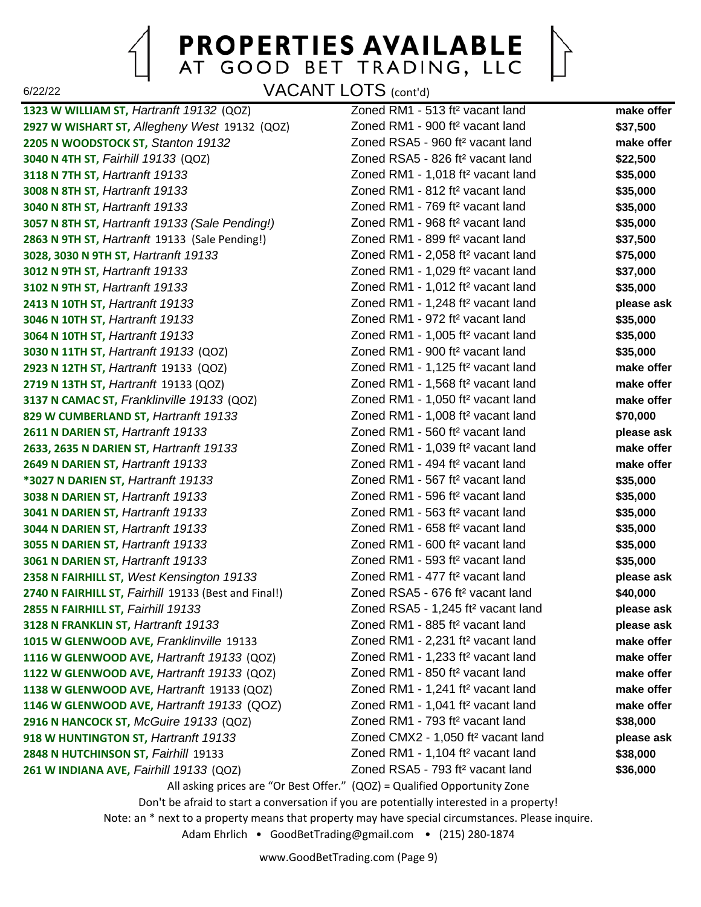

# **PROPERTIES AVAILABLE** AT GOOD BET TRADING, LLC

VACANT LOTS (cont'd)

**1323 W WILLIAM ST,** *Hartranft 19132* (QOZ) Zoned RM1 - 513 ft² vacant land **make offer 2927 W WISHART ST,** *Allegheny West* 19132 (QOZ) Zoned RM1 - 900 ft² vacant land **\$37,500 2205 N WOODSTOCK ST,** *Stanton 19132* Zoned RSA5 - 960 ft² vacant land **make offer 3040 N 4TH ST,** *Fairhill 19133* (QOZ) Zoned RSA5 - 826 ft² vacant land **\$22,500 3118 N 7TH ST,** *Hartranft 19133* Zoned RM1 - 1,018 ft² vacant land **\$35,000 3008 N 8TH ST,** *Hartranft 19133* Zoned RM1 - 812 ft² vacant land **\$35,000 3040 N 8TH ST,** *Hartranft 19133* Zoned RM1 - 769 ft² vacant land **\$35,000 3057 N 8TH ST,** *Hartranft 19133 (Sale Pending!)* Zoned RM1 - 968 ft² vacant land **\$35,000 2863 N 9TH ST,** *Hartranft* 19133 (Sale Pending!) Zoned RM1 - 899 ft² vacant land **\$37,500 3028, 3030 N 9TH ST,** *Hartranft 19133* Zoned RM1 - 2,058 ft² vacant land **\$75,000 3012 N 9TH ST,** *Hartranft 19133* Zoned RM1 - 1,029 ft² vacant land **\$37,000 3102 N 9TH ST,** *Hartranft 19133* Zoned RM1 - 1,012 ft² vacant land **\$35,000 2413 N 10TH ST,** *Hartranft 19133* Zoned RM1 - 1,248 ft² vacant land **please ask 3046 N 10TH ST,** *Hartranft 19133* Zoned RM1 - 972 ft² vacant land **\$35,000 3064 N 10TH ST,** *Hartranft 19133* Zoned RM1 - 1,005 ft² vacant land **\$35,000 3030 N 11TH ST,** *Hartranft 19133* (QOZ) Zoned RM1 - 900 ft² vacant land **\$35,000 2923 N 12TH ST,** *Hartranft* 19133 (QOZ) Zoned RM1 - 1,125 ft² vacant land **make offer 2719 N 13TH ST,** *Hartranft* 19133 (QOZ) Zoned RM1 - 1,568 ft² vacant land **make offer 3137 N CAMAC ST,** *Franklinville 19133* (QOZ) Zoned RM1 - 1,050 ft² vacant land **make offer 829 W CUMBERLAND ST,** *Hartranft 19133* Zoned RM1 - 1,008 ft² vacant land **\$70,000 2611 N DARIEN ST,** *Hartranft 19133* Zoned RM1 - 560 ft² vacant land **please ask 2633, 2635 N DARIEN ST,** *Hartranft 19133* Zoned RM1 - 1,039 ft² vacant land **make offer 2649 N DARIEN ST,** *Hartranft 19133* Zoned RM1 - 494 ft² vacant land **make offer \*3027 N DARIEN ST,** *Hartranft 19133* Zoned RM1 - 567 ft² vacant land **\$35,000 3038 N DARIEN ST,** *Hartranft 19133* Zoned RM1 - 596 ft² vacant land **\$35,000 3041 N DARIEN ST,** *Hartranft 19133* Zoned RM1 - 563 ft² vacant land **\$35,000 3044 N DARIEN ST,** *Hartranft 19133* Zoned RM1 - 658 ft² vacant land **\$35,000 3055 N DARIEN ST,** *Hartranft 19133* Zoned RM1 - 600 ft² vacant land **\$35,000 3061 N DARIEN ST,** *Hartranft 19133* Zoned RM1 - 593 ft² vacant land **\$35,000 2358 N FAIRHILL ST,** *West Kensington 19133* Zoned RM1 - 477 ft² vacant land **please ask 2740 N FAIRHILL ST,** *Fairhill* 19133 (Best and Final!) Zoned RSA5 - 676 ft² vacant land **\$40,000 2855 N FAIRHILL ST,** *Fairhill 19133* Zoned RSA5 - 1,245 ft² vacant land **please ask 3128 N FRANKLIN ST,** *Hartranft 19133* Zoned RM1 - 885 ft² vacant land **please ask 1015 W GLENWOOD AVE,** *Franklinville* 19133 Zoned RM1 - 2,231 ft² vacant land **make offer 1116 W GLENWOOD AVE,** *Hartranft 19133* (QOZ) Zoned RM1 - 1,233 ft² vacant land **make offer 1122 W GLENWOOD AVE,** *Hartranft 19133* (QOZ) Zoned RM1 - 850 ft² vacant land **make offer 1138 W GLENWOOD AVE,** *Hartranft* 19133 (QOZ) Zoned RM1 - 1,241 ft² vacant land **make offer 1146 W GLENWOOD AVE,** *Hartranft 19133* (QOZ) Zoned RM1 - 1,041 ft² vacant land **make offer 2916 N HANCOCK ST,** *McGuire 19133* (QOZ) Zoned RM1 - 793 ft² vacant land **\$38,000 918 W HUNTINGTON ST,** *Hartranft 19133* Zoned CMX2 - 1,050 ft² vacant land **please ask 2848 N HUTCHINSON ST,** *Fairhill* 19133 Zoned RM1 - 1,104 ft² vacant land **\$38,000 261 W INDIANA AVE,** *Fairhill 19133* (QOZ) Zoned RSA5 - 793 ft² vacant land **\$36,000** All asking prices are "Or Best Offer." (QOZ) = Qualified Opportunity Zone

Don't be afraid to start a conversation if you are potentially interested in a property! Note: an \* next to a property means that property may have special circumstances. Please inquire. Adam Ehrlich • GoodBetTrading@gmail.com • (215) 280-1874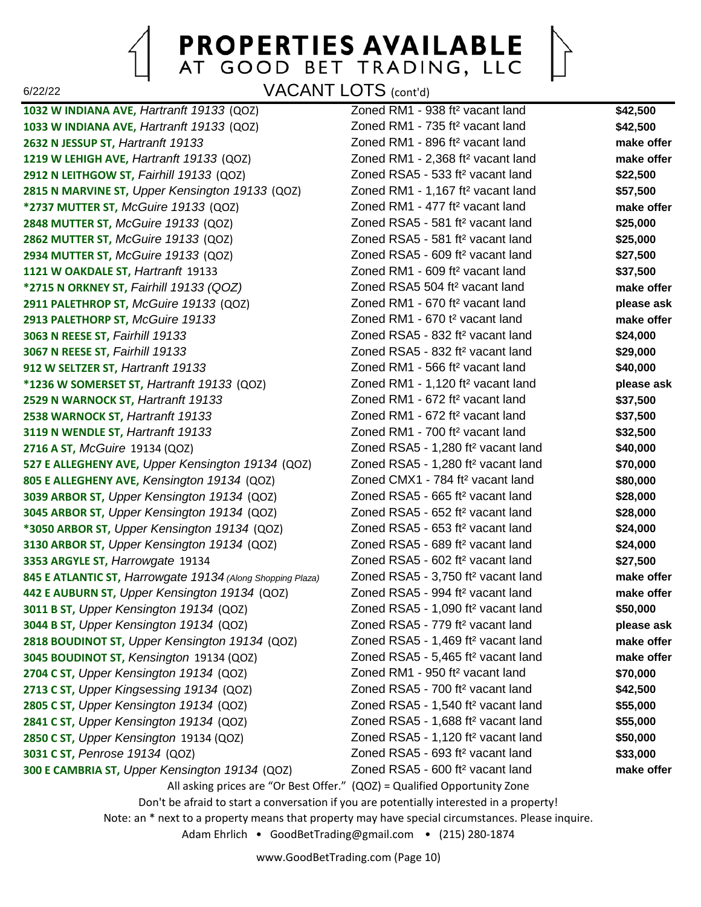

# **PROPERTIES AVAILABLE** AT GOOD BET TRADING, LLC

VACANT LOTS (cont'd)

**1032 W INDIANA AVE,** *Hartranft 19133* (QOZ) Zoned RM1 - 938 ft² vacant land **\$42,500 1033 W INDIANA AVE,** *Hartranft 19133* (QOZ) Zoned RM1 - 735 ft² vacant land **\$42,500 2632 N JESSUP ST,** *Hartranft 19133* Zoned RM1 - 896 ft² vacant land **make offer 1219 W LEHIGH AVE,** *Hartranft 19133* (QOZ) Zoned RM1 - 2,368 ft² vacant land **make offer 2912 N LEITHGOW ST,** *Fairhill 19133* (QOZ) Zoned RSA5 - 533 ft² vacant land **\$22,500 2815 N MARVINE ST,** *Upper Kensington 19133* (QOZ) Zoned RM1 - 1,167 ft² vacant land **\$57,500 \*2737 MUTTER ST,** *McGuire 19133* (QOZ) Zoned RM1 - 477 ft² vacant land **make offer 2848 MUTTER ST,** *McGuire 19133* (QOZ) Zoned RSA5 - 581 ft² vacant land **\$25,000 2862 MUTTER ST,** *McGuire 19133* (QOZ) Zoned RSA5 - 581 ft² vacant land **\$25,000 2934 MUTTER ST,** *McGuire 19133* (QOZ) Zoned RSA5 - 609 ft² vacant land **\$27,500 1121 W OAKDALE ST,** *Hartranft* 19133 Zoned RM1 - 609 ft² vacant land **\$37,500 \*2715 N ORKNEY ST,** *Fairhill 19133 (QOZ)* Zoned RSA5 504 ft² vacant land **make offer 2911 PALETHROP ST,** *McGuire 19133* (QOZ) Zoned RM1 - 670 ft² vacant land **please ask 2913 PALETHORP ST,** *McGuire 19133* Zoned RM1 - 670 t² vacant land **make offer 3063 N REESE ST,** *Fairhill 19133* Zoned RSA5 - 832 ft² vacant land **\$24,000 3067 N REESE ST,** *Fairhill 19133* Zoned RSA5 - 832 ft² vacant land **\$29,000 912 W SELTZER ST,** *Hartranft 19133* Zoned RM1 - 566 ft² vacant land **\$40,000 \*1236 W SOMERSET ST,** *Hartranft 19133* (QOZ) Zoned RM1 - 1,120 ft² vacant land **please ask 2529 N WARNOCK ST,** *Hartranft 19133* Zoned RM1 - 672 ft² vacant land **\$37,500 2538 WARNOCK ST,** *Hartranft 19133* Zoned RM1 - 672 ft² vacant land **\$37,500 3119 N WENDLE ST,** *Hartranft 19133* Zoned RM1 - 700 ft² vacant land **\$32,500 2716 A ST,** *McGuire* 19134 (QOZ) Zoned RSA5 - 1,280 ft² vacant land **\$40,000 527 E ALLEGHENY AVE,** *Upper Kensington 19134* (QOZ) Zoned RSA5 - 1,280 ft² vacant land **\$70,000 805 E ALLEGHENY AVE,** *Kensington 19134* (QOZ) Zoned CMX1 - 784 ft² vacant land **\$80,000 3039 ARBOR ST,** *Upper Kensington 19134* (QOZ) Zoned RSA5 - 665 ft² vacant land **\$28,000 3045 ARBOR ST,** *Upper Kensington 19134* (QOZ) Zoned RSA5 - 652 ft² vacant land **\$28,000 \*3050 ARBOR ST,** *Upper Kensington 19134* (QOZ) Zoned RSA5 - 653 ft² vacant land **\$24,000 3130 ARBOR ST,** *Upper Kensington 19134* (QOZ) Zoned RSA5 - 689 ft² vacant land **\$24,000 3353 ARGYLE ST,** *Harrowgate* 19134 Zoned RSA5 - 602 ft² vacant land **\$27,500 845 E ATLANTIC ST,** *Harrowgate 19134 (Along Shopping Plaza)* Zoned RSA5 - 3,750 ft² vacant land **make offer 442 E AUBURN ST,** *Upper Kensington 19134* (QOZ) Zoned RSA5 - 994 ft² vacant land **make offer 3011 B ST,** *Upper Kensington 19134* (QOZ) Zoned RSA5 - 1,090 ft² vacant land **\$50,000 3044 B ST,** *Upper Kensington 19134* (QOZ) Zoned RSA5 - 779 ft² vacant land **please ask 2818 BOUDINOT ST,** *Upper Kensington 19134* (QOZ) Zoned RSA5 - 1,469 ft² vacant land **make offer 3045 BOUDINOT ST,** *Kensington* 19134 (QOZ) Zoned RSA5 - 5,465 ft² vacant land **make offer 2704 C ST,** *Upper Kensington 19134* (QOZ) Zoned RM1 - 950 ft² vacant land **\$70,000 2713 C ST,** *Upper Kingsessing 19134* (QOZ) Zoned RSA5 - 700 ft² vacant land **\$42,500 2805 C ST,** *Upper Kensington 19134* (QOZ) Zoned RSA5 - 1,540 ft² vacant land **\$55,000 2841 C ST,** *Upper Kensington 19134* (QOZ) Zoned RSA5 - 1,688 ft² vacant land **\$55,000 2850 C ST,** *Upper Kensington* 19134 (QOZ) Zoned RSA5 - 1,120 ft² vacant land **\$50,000 3031 C ST,** *Penrose 19134* (QOZ) Zoned RSA5 - 693 ft² vacant land **\$33,000 300 E CAMBRIA ST,** *Upper Kensington 19134* (QOZ) Zoned RSA5 - 600 ft² vacant land **make offer**

All asking prices are "Or Best Offer." (QOZ) = Qualified Opportunity Zone

Don't be afraid to start a conversation if you are potentially interested in a property! Note: an \* next to a property means that property may have special circumstances. Please inquire.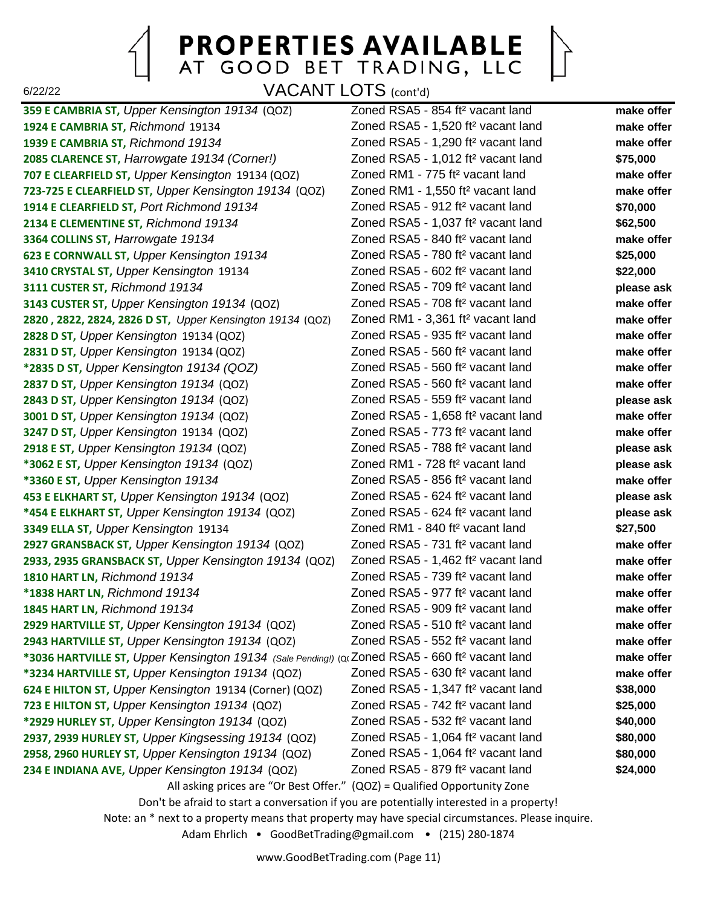

### **PROPERTIES AVAILABLE** AT GOOD BET TRADING, LLC

VACANT LOTS (cont'd)

**359 E CAMBRIA ST,** *Upper Kensington 19134* (QOZ) Zoned RSA5 - 854 ft² vacant land **make offer 1924 E CAMBRIA ST,** *Richmond* 19134 Zoned RSA5 - 1,520 ft² vacant land **make offer 1939 E CAMBRIA ST,** *Richmond 19134* Zoned RSA5 - 1,290 ft² vacant land **make offer 2085 CLARENCE ST,** *Harrowgate 19134 (Corner!)* Zoned RSA5 - 1,012 ft² vacant land **\$75,000 707 E CLEARFIELD ST,** *Upper Kensington* 19134 (QOZ) Zoned RM1 - 775 ft² vacant land **make offer 723-725 E CLEARFIELD ST,** *Upper Kensington 19134* (QOZ) Zoned RM1 - 1,550 ft² vacant land **make offer 1914 E CLEARFIELD ST,** *Port Richmond 19134* Zoned RSA5 - 912 ft² vacant land **\$70,000 2134 E CLEMENTINE ST,** *Richmond 19134* Zoned RSA5 - 1,037 ft² vacant land **\$62,500 3364 COLLINS ST,** *Harrowgate 19134* Zoned RSA5 - 840 ft² vacant land **make offer 623 E CORNWALL ST,** *Upper Kensington 19134* Zoned RSA5 - 780 ft² vacant land **\$25,000 3410 CRYSTAL ST,** *Upper Kensington* 19134 Zoned RSA5 - 602 ft² vacant land **\$22,000 3111 CUSTER ST,** *Richmond 19134* Zoned RSA5 - 709 ft² vacant land **please ask 3143 CUSTER ST,** *Upper Kensington 19134* (QOZ) Zoned RSA5 - 708 ft² vacant land **make offer 2820 , 2822, 2824, 2826 D ST,** *Upper Kensington 19134* (QOZ) Zoned RM1 - 3,361 ft² vacant land **make offer 2828 D ST,** *Upper Kensington* 19134 (QOZ) Zoned RSA5 - 935 ft² vacant land **make offer 2831 D ST,** *Upper Kensington* 19134 (QOZ) Zoned RSA5 - 560 ft² vacant land **make offer \*2835 D ST,** *Upper Kensington 19134 (QOZ)* Zoned RSA5 - 560 ft² vacant land **make offer 2837 D ST,** *Upper Kensington 19134* (QOZ) Zoned RSA5 - 560 ft² vacant land **make offer 2843 D ST,** *Upper Kensington 19134* (QOZ) Zoned RSA5 - 559 ft² vacant land **please ask 3001 D ST,** *Upper Kensington 19134* (QOZ) Zoned RSA5 - 1,658 ft² vacant land **make offer 3247 D ST,** *Upper Kensington* 19134 (QOZ) Zoned RSA5 - 773 ft² vacant land **make offer 2918 E ST,** *Upper Kensington 19134* (QOZ) Zoned RSA5 - 788 ft² vacant land **please ask \*3062 E ST,** *Upper Kensington 19134* (QOZ) Zoned RM1 - 728 ft² vacant land **please ask \*3360 E ST,** *Upper Kensington 19134* Zoned RSA5 - 856 ft² vacant land **make offer 453 E ELKHART ST,** *Upper Kensington 19134* (QOZ) Zoned RSA5 - 624 ft² vacant land **please ask \*454 E ELKHART ST,** *Upper Kensington 19134* (QOZ) Zoned RSA5 - 624 ft² vacant land **please ask 3349 ELLA ST,** *Upper Kensington* 19134 Zoned RM1 - 840 ft² vacant land **\$27,500 2927 GRANSBACK ST,** *Upper Kensington 19134* (QOZ) Zoned RSA5 - 731 ft² vacant land **make offer 2933, 2935 GRANSBACK ST,** *Upper Kensington 19134* (QOZ) Zoned RSA5 - 1,462 ft² vacant land **make offer 1810 HART LN,** *Richmond 19134* Zoned RSA5 - 739 ft² vacant land **make offer \*1838 HART LN,** *Richmond 19134* Zoned RSA5 - 977 ft² vacant land **make offer 1845 HART LN,** *Richmond 19134* Zoned RSA5 - 909 ft² vacant land **make offer 2929 HARTVILLE ST,** *Upper Kensington 19134* (QOZ) Zoned RSA5 - 510 ft² vacant land **make offer 2943 HARTVILLE ST,** *Upper Kensington 19134* (QOZ) Zoned RSA5 - 552 ft² vacant land **make offer \*3036 HARTVILLE ST, Upper Kensington 19134** (Sale Pending!) (Qt Zoned RSA5 - 660 ft<sup>2</sup> vacant land **make offer \*3234 HARTVILLE ST,** *Upper Kensington 19134* (QOZ) Zoned RSA5 - 630 ft² vacant land **make offer 624 E HILTON ST,** *Upper Kensington* 19134 (Corner) (QOZ) Zoned RSA5 - 1,347 ft² vacant land **\$38,000 723 E HILTON ST,** *Upper Kensington 19134* (QOZ) Zoned RSA5 - 742 ft² vacant land **\$25,000 \*2929 HURLEY ST,** *Upper Kensington 19134* (QOZ) Zoned RSA5 - 532 ft² vacant land **\$40,000 2937, 2939 HURLEY ST,** *Upper Kingsessing 19134* (QOZ) Zoned RSA5 - 1,064 ft² vacant land **\$80,000 2958, 2960 HURLEY ST,** *Upper Kensington 19134* (QOZ) Zoned RSA5 - 1,064 ft² vacant land **\$80,000 234 E INDIANA AVE,** *Upper Kensington 19134* (QOZ) Zoned RSA5 - 879 ft² vacant land **\$24,000** All asking prices are "Or Best Offer." (QOZ) = Qualified Opportunity Zone

Don't be afraid to start a conversation if you are potentially interested in a property! Note: an \* next to a property means that property may have special circumstances. Please inquire.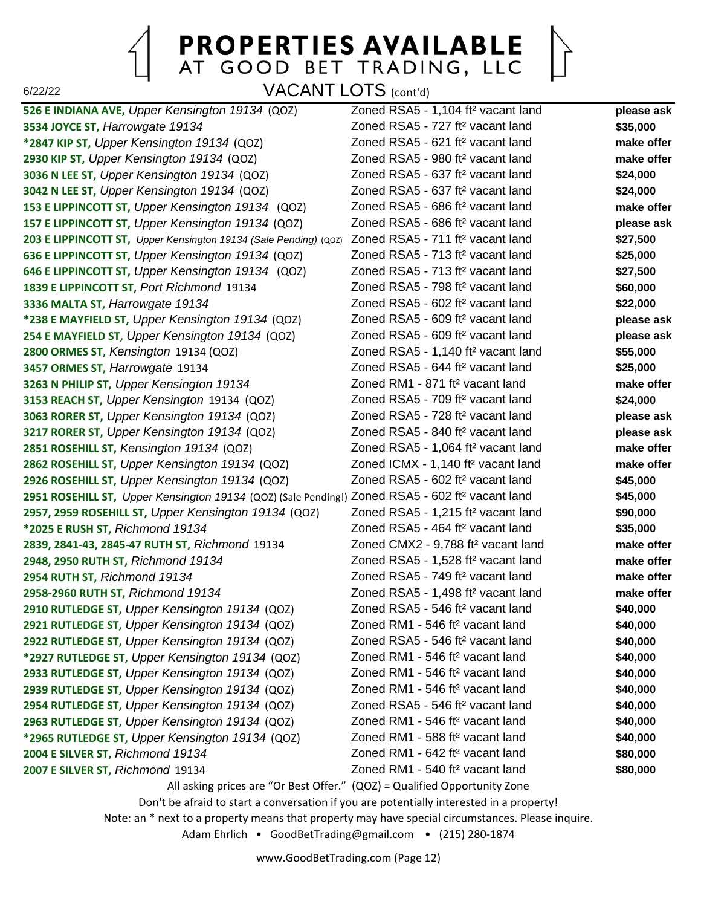#### **PROPERTIES AVAILABLE** AT GOOD BET TRADING, LLC

VACANT LOTS (cont'd)

**526 E INDIANA AVE,** *Upper Kensington 19134* (QOZ) Zoned RSA5 - 1,104 ft² vacant land **please ask 3534 JOYCE ST,** *Harrowgate 19134* Zoned RSA5 - 727 ft² vacant land **\$35,000 \*2847 KIP ST,** *Upper Kensington 19134* (QOZ) Zoned RSA5 - 621 ft² vacant land **make offer 2930 KIP ST,** *Upper Kensington 19134* (QOZ) Zoned RSA5 - 980 ft² vacant land **make offer 3036 N LEE ST,** *Upper Kensington 19134* (QOZ) Zoned RSA5 - 637 ft² vacant land **\$24,000 3042 N LEE ST,** *Upper Kensington 19134* (QOZ) Zoned RSA5 - 637 ft² vacant land **\$24,000 153 E LIPPINCOTT ST,** *Upper Kensington 19134* (QOZ) Zoned RSA5 - 686 ft² vacant land **make offer 157 E LIPPINCOTT ST,** *Upper Kensington 19134* (QOZ) Zoned RSA5 - 686 ft² vacant land **please ask 203 E LIPPINCOTT ST,** *Upper Kensington 19134 (Sale Pending)* (QOZ) Zoned RSA5 - 711 ft² vacant land **\$27,500 636 E LIPPINCOTT ST,** *Upper Kensington 19134* (QOZ) Zoned RSA5 - 713 ft² vacant land **\$25,000 646 E LIPPINCOTT ST,** *Upper Kensington 19134* (QOZ) Zoned RSA5 - 713 ft² vacant land **\$27,500 1839 E LIPPINCOTT ST,** *Port Richmond* 19134 Zoned RSA5 - 798 ft² vacant land **\$60,000 3336 MALTA ST,** *Harrowgate 19134* Zoned RSA5 - 602 ft² vacant land **\$22,000 \*238 E MAYFIELD ST,** *Upper Kensington 19134* (QOZ) Zoned RSA5 - 609 ft² vacant land **please ask 254 E MAYFIELD ST,** *Upper Kensington 19134* (QOZ) Zoned RSA5 - 609 ft² vacant land **please ask 2800 ORMES ST,** *Kensington* 19134 (QOZ) Zoned RSA5 - 1,140 ft² vacant land **\$55,000 3457 ORMES ST,** *Harrowgate* 19134 Zoned RSA5 - 644 ft² vacant land **\$25,000 3263 N PHILIP ST,** *Upper Kensington 19134* Zoned RM1 - 871 ft² vacant land **make offer 3153 REACH ST,** *Upper Kensington* 19134 (QOZ) Zoned RSA5 - 709 ft² vacant land **\$24,000 3063 RORER ST,** *Upper Kensington 19134* (QOZ) Zoned RSA5 - 728 ft² vacant land **please ask 3217 RORER ST,** *Upper Kensington 19134* (QOZ) Zoned RSA5 - 840 ft² vacant land **please ask 2851 ROSEHILL ST,** *Kensington 19134* (QOZ) Zoned RSA5 - 1,064 ft² vacant land **make offer 2862 ROSEHILL ST,** *Upper Kensington 19134* (QOZ) Zoned ICMX - 1,140 ft² vacant land **make offer 2926 ROSEHILL ST,** *Upper Kensington 19134* (QOZ) Zoned RSA5 - 602 ft² vacant land **\$45,000 2951 ROSEHILL ST,** *Upper Kensington 19134* (QOZ) (Sale Pending!) Zoned RSA5 - 602 ft² vacant land **\$45,000 2957, 2959 ROSEHILL ST,** *Upper Kensington 19134* (QOZ) Zoned RSA5 - 1,215 ft² vacant land **\$90,000 \*2025 E RUSH ST,** *Richmond 19134* Zoned RSA5 - 464 ft² vacant land **\$35,000 2839, 2841-43, 2845-47 RUTH ST,** *Richmond* 19134 Zoned CMX2 - 9,788 ft² vacant land **make offer 2948, 2950 RUTH ST,** *Richmond 19134* Zoned RSA5 - 1,528 ft² vacant land **make offer 2954 RUTH ST,** *Richmond 19134* Zoned RSA5 - 749 ft² vacant land **make offer 2958-2960 RUTH ST,** *Richmond 19134* Zoned RSA5 - 1,498 ft² vacant land **make offer 2910 RUTLEDGE ST,** *Upper Kensington 19134* (QOZ) Zoned RSA5 - 546 ft² vacant land **\$40,000 2921 RUTLEDGE ST,** *Upper Kensington 19134* (QOZ) Zoned RM1 - 546 ft² vacant land **\$40,000 2922 RUTLEDGE ST,** *Upper Kensington 19134* (QOZ) Zoned RSA5 - 546 ft² vacant land **\$40,000 \*2927 RUTLEDGE ST,** *Upper Kensington 19134* (QOZ) Zoned RM1 - 546 ft² vacant land **\$40,000 2933 RUTLEDGE ST,** *Upper Kensington 19134* (QOZ) Zoned RM1 - 546 ft² vacant land **\$40,000 2939 RUTLEDGE ST,** *Upper Kensington 19134* (QOZ) Zoned RM1 - 546 ft² vacant land **\$40,000 2954 RUTLEDGE ST,** *Upper Kensington 19134* (QOZ) Zoned RSA5 - 546 ft² vacant land **\$40,000 2963 RUTLEDGE ST,** *Upper Kensington 19134* (QOZ) Zoned RM1 - 546 ft² vacant land **\$40,000 \*2965 RUTLEDGE ST,** *Upper Kensington 19134* (QOZ) Zoned RM1 - 588 ft² vacant land **\$40,000 2004 E SILVER ST,** *Richmond 19134* Zoned RM1 - 642 ft² vacant land **\$80,000 2007 E SILVER ST,** *Richmond* 19134 Zoned RM1 - 540 ft² vacant land **\$80,000** All asking prices are "Or Best Offer." (QOZ) = Qualified Opportunity Zone

Don't be afraid to start a conversation if you are potentially interested in a property! Note: an \* next to a property means that property may have special circumstances. Please inquire.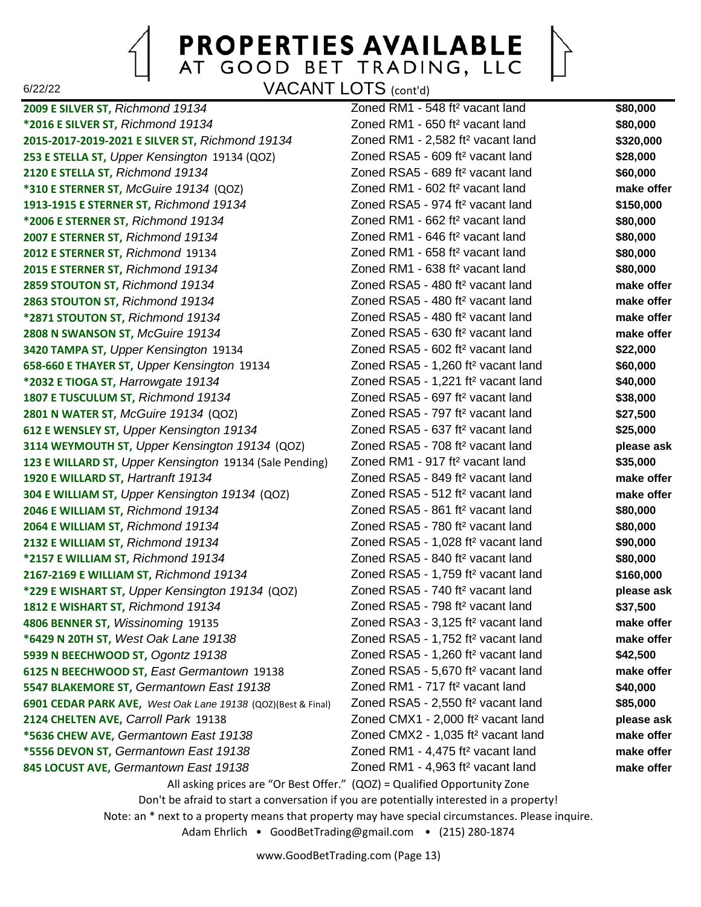**PROPERTIES AVAILABLE** AT GOOD BET TRADING, LLC

VACANT LOTS (cont'd)

**2009 E SILVER ST,** *Richmond 19134* Zoned RM1 - 548 ft² vacant land **\$80,000 \*2016 E SILVER ST,** *Richmond 19134* Zoned RM1 - 650 ft² vacant land **\$80,000 2015-2017-2019-2021 E SILVER ST,** *Richmond 19134* Zoned RM1 - 2,582 ft² vacant land **\$320,000 253 E STELLA ST,** *Upper Kensington* 19134 (QOZ) Zoned RSA5 - 609 ft² vacant land **\$28,000 2120 E STELLA ST,** *Richmond 19134* Zoned RSA5 - 689 ft² vacant land **\$60,000 \*310 E STERNER ST,** *McGuire 19134* (QOZ) Zoned RM1 - 602 ft² vacant land **make offer 1913-1915 E STERNER ST,** *Richmond 19134* Zoned RSA5 - 974 ft² vacant land **\$150,000 \*2006 E STERNER ST,** *Richmond 19134* Zoned RM1 - 662 ft² vacant land **\$80,000 2007 E STERNER ST,** *Richmond 19134* Zoned RM1 - 646 ft² vacant land **\$80,000 2012 E STERNER ST,** *Richmond* 19134 Zoned RM1 - 658 ft² vacant land **\$80,000 2015 E STERNER ST,** *Richmond 19134* Zoned RM1 - 638 ft² vacant land **\$80,000 2859 STOUTON ST,** *Richmond 19134* Zoned RSA5 - 480 ft² vacant land **make offer 2863 STOUTON ST,** *Richmond 19134* Zoned RSA5 - 480 ft² vacant land **make offer \*2871 STOUTON ST,** *Richmond 19134* Zoned RSA5 - 480 ft² vacant land **make offer 2808 N SWANSON ST,** *McGuire 19134* Zoned RSA5 - 630 ft² vacant land **make offer 3420 TAMPA ST,** *Upper Kensington* 19134 Zoned RSA5 - 602 ft² vacant land **\$22,000 658-660 E THAYER ST,** *Upper Kensington* 19134 Zoned RSA5 - 1,260 ft² vacant land **\$60,000 \*2032 E TIOGA ST,** *Harrowgate 19134* Zoned RSA5 - 1,221 ft² vacant land **\$40,000 1807 E TUSCULUM ST,** *Richmond 19134* Zoned RSA5 - 697 ft² vacant land **\$38,000 2801 N WATER ST,** *McGuire 19134* (QOZ) Zoned RSA5 - 797 ft² vacant land **\$27,500 612 E WENSLEY ST,** *Upper Kensington 19134* Zoned RSA5 - 637 ft² vacant land **\$25,000 3114 WEYMOUTH ST,** *Upper Kensington 19134* (QOZ) Zoned RSA5 - 708 ft² vacant land **please ask 123 E WILLARD ST,** *Upper Kensington* 19134 (Sale Pending) Zoned RM1 - 917 ft² vacant land **\$35,000 1920 E WILLARD ST,** *Hartranft 19134* Zoned RSA5 - 849 ft² vacant land **make offer 304 E WILLIAM ST,** *Upper Kensington 19134* (QOZ) Zoned RSA5 - 512 ft² vacant land **make offer 2046 E WILLIAM ST,** *Richmond 19134* Zoned RSA5 - 861 ft² vacant land **\$80,000 2064 E WILLIAM ST,** *Richmond 19134* Zoned RSA5 - 780 ft² vacant land **\$80,000 2132 E WILLIAM ST,** *Richmond 19134* Zoned RSA5 - 1,028 ft² vacant land **\$90,000 \*2157 E WILLIAM ST,** *Richmond 19134* Zoned RSA5 - 840 ft² vacant land **\$80,000 2167-2169 E WILLIAM ST,** *Richmond 19134* Zoned RSA5 - 1,759 ft² vacant land **\$160,000 \*229 E WISHART ST,** *Upper Kensington 19134* (QOZ) Zoned RSA5 - 740 ft² vacant land **please ask 1812 E WISHART ST,** *Richmond 19134* Zoned RSA5 - 798 ft² vacant land **\$37,500 4806 BENNER ST,** *Wissinoming* 19135 Zoned RSA3 - 3,125 ft² vacant land **make offer \*6429 N 20TH ST,** *West Oak Lane 19138* Zoned RSA5 - 1,752 ft² vacant land **make offer 5939 N BEECHWOOD ST,** *Ogontz 19138* Zoned RSA5 - 1,260 ft² vacant land **\$42,500 6125 N BEECHWOOD ST,** *East Germantown* 19138 Zoned RSA5 - 5,670 ft² vacant land **make offer 5547 BLAKEMORE ST,** *Germantown East 19138* Zoned RM1 - 717 ft² vacant land **\$40,000 6901 CEDAR PARK AVE,** *West Oak Lane 19138* (QOZ)(Best & Final) Zoned RSA5 - 2,550 ft² vacant land **\$85,000 2124 CHELTEN AVE,** *Carroll Park* 19138 Zoned CMX1 - 2,000 ft² vacant land **please ask \*5636 CHEW AVE,** *Germantown East 19138* Zoned CMX2 - 1,035 ft² vacant land **make offer \*5556 DEVON ST,** *Germantown East 19138* Zoned RM1 - 4,475 ft² vacant land **make offer 845 LOCUST AVE,** *Germantown East 19138* Zoned RM1 - 4,963 ft² vacant land **make offer** All asking prices are "Or Best Offer." (QOZ) = Qualified Opportunity Zone

Don't be afraid to start a conversation if you are potentially interested in a property! Note: an \* next to a property means that property may have special circumstances. Please inquire.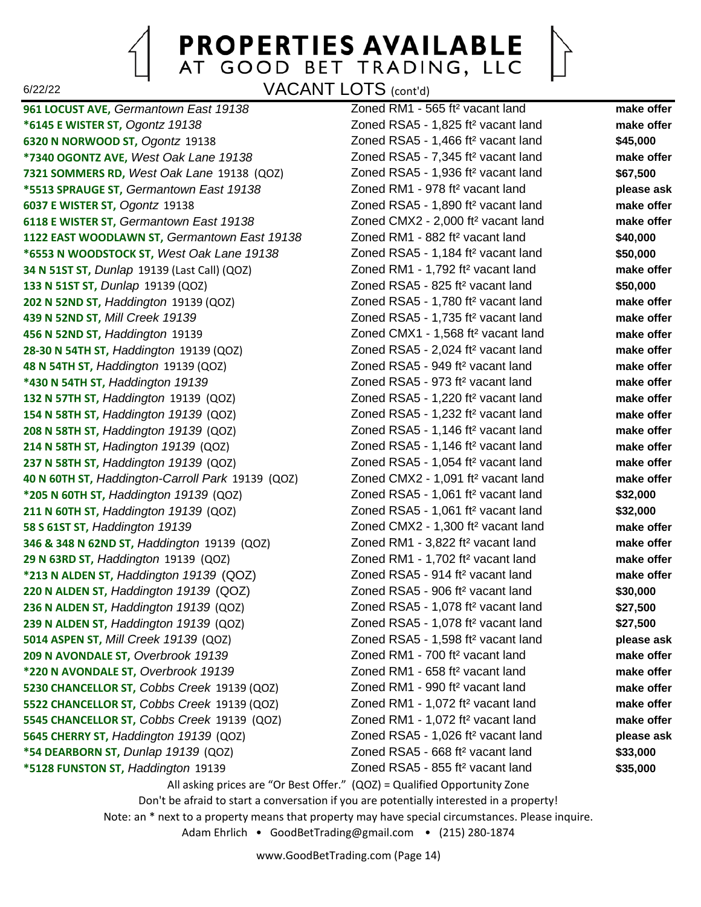

#### **PROPERTIES AVAILABLE** AT GOOD BET TRADING, LLC

VACANT LOTS (cont'd)

**961 LOCUST AVE,** *Germantown East 19138* Zoned RM1 - 565 ft² vacant land **make offer \*6145 E WISTER ST,** *Ogontz 19138* Zoned RSA5 - 1,825 ft² vacant land **make offer 6320 N NORWOOD ST,** *Ogontz* 19138 Zoned RSA5 - 1,466 ft² vacant land **\$45,000 \*7340 OGONTZ AVE,** *West Oak Lane 19138* Zoned RSA5 - 7,345 ft² vacant land **make offer 7321 SOMMERS RD,** *West Oak Lane* 19138 (QOZ) Zoned RSA5 - 1,936 ft² vacant land **\$67,500 \*5513 SPRAUGE ST,** *Germantown East 19138* Zoned RM1 - 978 ft² vacant land **please ask 6037 E WISTER ST,** *Ogontz* 19138 Zoned RSA5 - 1,890 ft² vacant land **make offer 6118 E WISTER ST,** *Germantown East 19138* Zoned CMX2 - 2,000 ft² vacant land **make offer 1122 EAST WOODLAWN ST,** *Germantown East 19138* Zoned RM1 - 882 ft² vacant land **\$40,000 \*6553 N WOODSTOCK ST,** *West Oak Lane 19138* Zoned RSA5 - 1,184 ft² vacant land **\$50,000 34 N 51ST ST,** *Dunlap* 19139 (Last Call) (QOZ) Zoned RM1 - 1,792 ft² vacant land **make offer 133 N 51ST ST,** *Dunlap* 19139 (QOZ) Zoned RSA5 - 825 ft² vacant land **\$50,000 202 N 52ND ST,** *Haddington* 19139 (QOZ) Zoned RSA5 - 1,780 ft² vacant land **make offer 439 N 52ND ST,** *Mill Creek 19139* Zoned RSA5 - 1,735 ft² vacant land **make offer 456 N 52ND ST,** *Haddington* 19139 Zoned CMX1 - 1,568 ft² vacant land **make offer 28-30 N 54TH ST,** *Haddington* 19139 (QOZ) Zoned RSA5 - 2,024 ft² vacant land **make offer 48 N 54TH ST,** *Haddington* 19139 (QOZ) Zoned RSA5 - 949 ft² vacant land **make offer \*430 N 54TH ST,** *Haddington 19139* Zoned RSA5 - 973 ft² vacant land **make offer 132 N 57TH ST,** *Haddington* 19139 (QOZ) Zoned RSA5 - 1,220 ft² vacant land **make offer 154 N 58TH ST,** *Haddington 19139* (QOZ) Zoned RSA5 - 1,232 ft² vacant land **make offer 208 N 58TH ST,** *Haddington 19139* (QOZ) Zoned RSA5 - 1,146 ft² vacant land **make offer 214 N 58TH ST,** *Hadington 19139* (QOZ) Zoned RSA5 - 1,146 ft² vacant land **make offer 237 N 58TH ST,** *Haddington 19139* (QOZ) Zoned RSA5 - 1,054 ft² vacant land **make offer 40 N 60TH ST,** *Haddington-Carroll Park* 19139 (QOZ) Zoned CMX2 - 1,091 ft² vacant land **make offer \*205 N 60TH ST,** *Haddington 19139* (QOZ) Zoned RSA5 - 1,061 ft² vacant land **\$32,000 211 N 60TH ST,** *Haddington 19139* (QOZ) Zoned RSA5 - 1,061 ft² vacant land **\$32,000 58 S 61ST ST,** *Haddington 19139* Zoned CMX2 - 1,300 ft² vacant land **make offer 346 & 348 N 62ND ST,** *Haddington* 19139 (QOZ) Zoned RM1 - 3,822 ft² vacant land **make offer 29 N 63RD ST,** *Haddington* 19139 (QOZ) Zoned RM1 - 1,702 ft² vacant land **make offer \*213 N ALDEN ST,** *Haddington 19139* (QOZ) Zoned RSA5 - 914 ft² vacant land **make offer 220 N ALDEN ST,** *Haddington 19139* (QOZ) Zoned RSA5 - 906 ft² vacant land **\$30,000 236 N ALDEN ST,** *Haddington 19139* (QOZ) Zoned RSA5 - 1,078 ft² vacant land **\$27,500 239 N ALDEN ST,** *Haddington 19139* (QOZ) Zoned RSA5 - 1,078 ft² vacant land **\$27,500 5014 ASPEN ST,** *Mill Creek 19139* (QOZ) Zoned RSA5 - 1,598 ft² vacant land **please ask 209 N AVONDALE ST,** *Overbrook 19139* Zoned RM1 - 700 ft² vacant land **make offer \*220 N AVONDALE ST,** *Overbrook 19139* Zoned RM1 - 658 ft² vacant land **make offer 5230 CHANCELLOR ST,** *Cobbs Creek* 19139 (QOZ) Zoned RM1 - 990 ft² vacant land **make offer 5522 CHANCELLOR ST,** *Cobbs Creek* 19139 (QOZ) Zoned RM1 - 1,072 ft² vacant land **make offer 5545 CHANCELLOR ST,** *Cobbs Creek* 19139 (QOZ) Zoned RM1 - 1,072 ft² vacant land **make offer 5645 CHERRY ST,** *Haddington 19139* (QOZ) Zoned RSA5 - 1,026 ft² vacant land **please ask \*54 DEARBORN ST,** *Dunlap 19139* (QOZ) Zoned RSA5 - 668 ft² vacant land **\$33,000 \*5128 FUNSTON ST,** *Haddington* 19139 Zoned RSA5 - 855 ft² vacant land **\$35,000**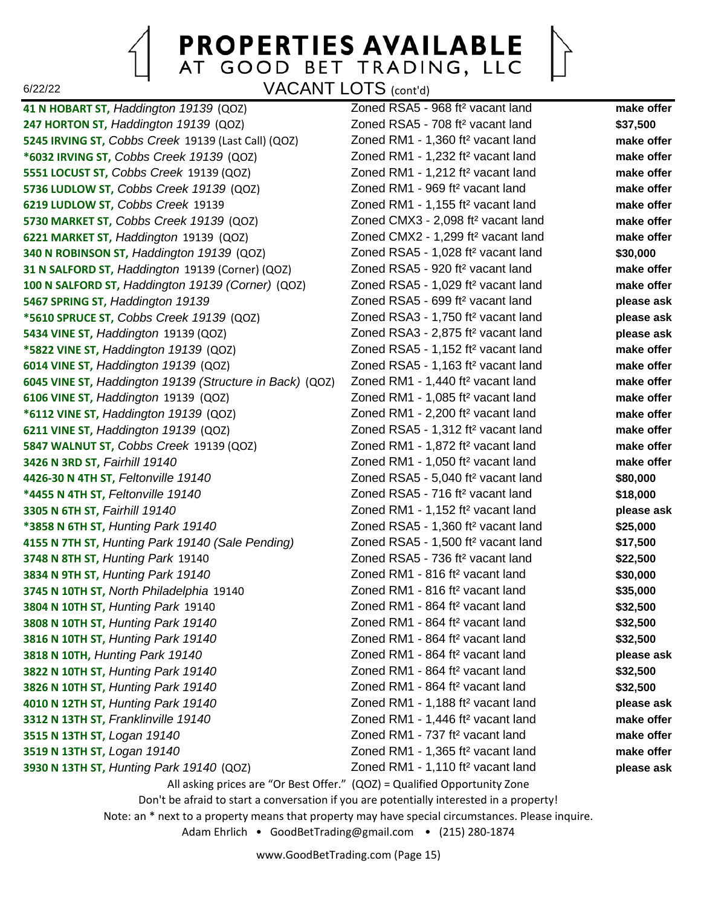# **PROPERTIES AVAILABLE** AT GOOD BET TRADING, LLC

VACANT LOTS (cont'd)

**247 HORTON ST,** *Haddington 19139* (QOZ) Zoned RSA5 - 708 ft² vacant land **\$37,500 5245 IRVING ST,** *Cobbs Creek* 19139 (Last Call) (QOZ) Zoned RM1 - 1,360 ft² vacant land **make offer \*6032 IRVING ST,** *Cobbs Creek 19139* (QOZ) Zoned RM1 - 1,232 ft² vacant land **make offer 5551 LOCUST ST,** *Cobbs Creek* 19139 (QOZ) Zoned RM1 - 1,212 ft² vacant land **make offer 5736 LUDLOW ST,** *Cobbs Creek 19139* (QOZ) Zoned RM1 - 969 ft² vacant land **make offer 6219 LUDLOW ST,** *Cobbs Creek* 19139 Zoned RM1 - 1,155 ft² vacant land **make offer 5730 MARKET ST,** *Cobbs Creek 19139* (QOZ) Zoned CMX3 - 2,098 ft² vacant land **make offer 6221 MARKET ST,** *Haddington* 19139 (QOZ) Zoned CMX2 - 1,299 ft² vacant land **make offer 340 N ROBINSON ST,** *Haddington 19139* (QOZ) Zoned RSA5 - 1,028 ft² vacant land **\$30,000 31 N SALFORD ST,** *Haddington* 19139 (Corner) (QOZ) Zoned RSA5 - 920 ft² vacant land **make offer 100 N SALFORD ST,** *Haddington 19139 (Corner)* (QOZ) Zoned RSA5 - 1,029 ft² vacant land **make offer 5467 SPRING ST,** *Haddington 19139* Zoned RSA5 - 699 ft² vacant land **please ask \*5610 SPRUCE ST,** *Cobbs Creek 19139* (QOZ) Zoned RSA3 - 1,750 ft² vacant land **please ask 5434 VINE ST,** *Haddington* 19139 (QOZ) Zoned RSA3 - 2,875 ft² vacant land **please ask \*5822 VINE ST,** *Haddington 19139* (QOZ) Zoned RSA5 - 1,152 ft² vacant land **make offer 6014 VINE ST,** *Haddington 19139* (QOZ) Zoned RSA5 - 1,163 ft² vacant land **make offer 6045 VINE ST,** *Haddington 19139 (Structure in Back)* (QOZ) Zoned RM1 - 1,440 ft² vacant land **make offer 6106 VINE ST,** *Haddington* 19139 (QOZ) Zoned RM1 - 1,085 ft² vacant land **make offer \*6112 VINE ST,** *Haddington 19139* (QOZ) Zoned RM1 - 2,200 ft² vacant land **make offer 6211 VINE ST,** *Haddington 19139* (QOZ) Zoned RSA5 - 1,312 ft² vacant land **make offer 5847 WALNUT ST,** *Cobbs Creek* 19139 (QOZ) Zoned RM1 - 1,872 ft² vacant land **make offer 3426 N 3RD ST,** *Fairhill 19140* Zoned RM1 - 1,050 ft² vacant land **make offer 4426-30 N 4TH ST,** *Feltonville 19140* Zoned RSA5 - 5,040 ft² vacant land **\$80,000 \*4455 N 4TH ST,** *Feltonville 19140* Zoned RSA5 - 716 ft² vacant land **\$18,000 3305 N 6TH ST,** *Fairhill 19140* Zoned RM1 - 1,152 ft² vacant land **please ask \*3858 N 6TH ST,** *Hunting Park 19140* Zoned RSA5 - 1,360 ft² vacant land **\$25,000 4155 N 7TH ST,** *Hunting Park 19140 (Sale Pending)* Zoned RSA5 - 1,500 ft² vacant land **\$17,500 3748 N 8TH ST,** *Hunting Park* 19140 Zoned RSA5 - 736 ft² vacant land **\$22,500 3834 N 9TH ST,** *Hunting Park 19140* Zoned RM1 - 816 ft² vacant land **\$30,000 3745 N 10TH ST,** *North Philadelphia* 19140 Zoned RM1 - 816 ft² vacant land **\$35,000 3804 N 10TH ST,** *Hunting Park* 19140 Zoned RM1 - 864 ft² vacant land **\$32,500 3808 N 10TH ST,** *Hunting Park 19140* Zoned RM1 - 864 ft² vacant land **\$32,500 3816 N 10TH ST,** *Hunting Park 19140* Zoned RM1 - 864 ft² vacant land **\$32,500 3818 N 10TH,** *Hunting Park 19140* Zoned RM1 - 864 ft² vacant land **please ask 3822 N 10TH ST,** *Hunting Park 19140* Zoned RM1 - 864 ft² vacant land **\$32,500 3826 N 10TH ST,** *Hunting Park 19140* Zoned RM1 - 864 ft² vacant land **\$32,500 4010 N 12TH ST,** *Hunting Park 19140* Zoned RM1 - 1,188 ft² vacant land **please ask 3312 N 13TH ST,** *Franklinville 19140* Zoned RM1 - 1,446 ft² vacant land **make offer 3515 N 13TH ST,** *Logan 19140* Zoned RM1 - 737 ft² vacant land **make offer 3519 N 13TH ST,** *Logan 19140* Zoned RM1 - 1,365 ft² vacant land **make offer 3930 N 13TH ST,** *Hunting Park 19140* (QOZ) Zoned RM1 - 1,110 ft² vacant land **please ask**

**41 N HOBART ST,** *Haddington 19139* (QOZ) Zoned RSA5 - 968 ft² vacant land **make offer** All asking prices are "Or Best Offer." (QOZ) = Qualified Opportunity Zone

Don't be afraid to start a conversation if you are potentially interested in a property!

Note: an \* next to a property means that property may have special circumstances. Please inquire.

Adam Ehrlich • GoodBetTrading@gmail.com • (215) 280-1874

6/22/22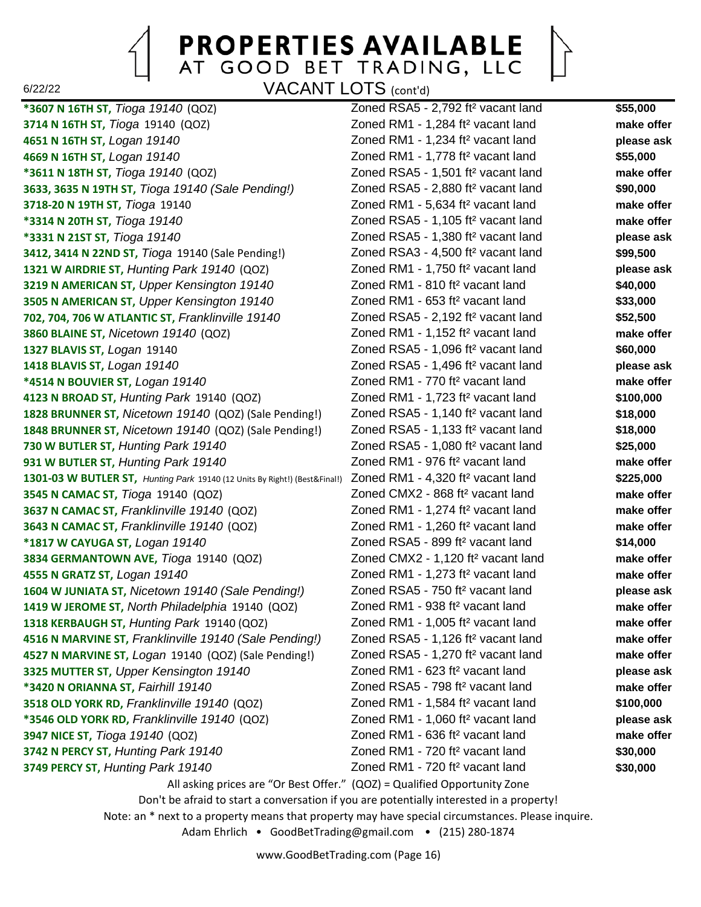

#### **PROPERTIES AVAILABLE** AT GOOD BET TRADING, LLC

VACANT LOTS (cont'd)

**\*3607 N 16TH ST,** *Tioga 19140* (QOZ) Zoned RSA5 - 2,792 ft² vacant land **\$55,000 3714 N 16TH ST,** *Tioga* 19140 (QOZ) Zoned RM1 - 1,284 ft² vacant land **make offer 4651 N 16TH ST,** *Logan 19140* Zoned RM1 - 1,234 ft² vacant land **please ask 4669 N 16TH ST,** *Logan 19140* Zoned RM1 - 1,778 ft² vacant land **\$55,000 \*3611 N 18TH ST,** *Tioga 19140* (QOZ) Zoned RSA5 - 1,501 ft² vacant land **make offer 3633, 3635 N 19TH ST,** *Tioga 19140 (Sale Pending!)* Zoned RSA5 - 2,880 ft² vacant land **\$90,000 3718-20 N 19TH ST,** *Tioga* 19140 Zoned RM1 - 5,634 ft² vacant land **make offer \*3314 N 20TH ST,** *Tioga 19140* Zoned RSA5 - 1,105 ft² vacant land **make offer \*3331 N 21ST ST,** *Tioga 19140* Zoned RSA5 - 1,380 ft² vacant land **please ask 3412, 3414 N 22ND ST,** *Tioga* 19140 (Sale Pending!) Zoned RSA3 - 4,500 ft² vacant land **\$99,500 1321 W AIRDRIE ST,** *Hunting Park 19140* (QOZ) Zoned RM1 - 1,750 ft² vacant land **please ask 3219 N AMERICAN ST,** *Upper Kensington 19140* Zoned RM1 - 810 ft² vacant land **\$40,000 3505 N AMERICAN ST,** *Upper Kensington 19140* Zoned RM1 - 653 ft² vacant land **\$33,000 702, 704, 706 W ATLANTIC ST,** *Franklinville 19140* Zoned RSA5 - 2,192 ft² vacant land **\$52,500 3860 BLAINE ST,** *Nicetown 19140* (QOZ) Zoned RM1 - 1,152 ft² vacant land **make offer 1327 BLAVIS ST,** *Logan* 19140 Zoned RSA5 - 1,096 ft² vacant land **\$60,000 1418 BLAVIS ST,** *Logan 19140* Zoned RSA5 - 1,496 ft² vacant land **please ask \*4514 N BOUVIER ST,** *Logan 19140* Zoned RM1 - 770 ft² vacant land **make offer 4123 N BROAD ST,** *Hunting Park* 19140 (QOZ) Zoned RM1 - 1,723 ft² vacant land **\$100,000 1828 BRUNNER ST,** *Nicetown 19140* (QOZ) (Sale Pending!) Zoned RSA5 - 1,140 ft² vacant land **\$18,000 1848 BRUNNER ST,** *Nicetown 19140* (QOZ) (Sale Pending!) Zoned RSA5 - 1,133 ft² vacant land **\$18,000 730 W BUTLER ST,** *Hunting Park 19140* Zoned RSA5 - 1,080 ft² vacant land **\$25,000 931 W BUTLER ST,** *Hunting Park 19140* Zoned RM1 - 976 ft² vacant land **make offer 1301-03 W BUTLER ST,** *Hunting Park* 19140 (12 Units By Right!) (Best&Final!) Zoned RM1 - 4,320 ft² vacant land **\$225,000 3545 N CAMAC ST,** *Tioga* 19140 (QOZ) Zoned CMX2 - 868 ft² vacant land **make offer 3637 N CAMAC ST,** *Franklinville 19140* (QOZ) Zoned RM1 - 1,274 ft² vacant land **make offer 3643 N CAMAC ST,** *Franklinville 19140* (QOZ) Zoned RM1 - 1,260 ft² vacant land **make offer \*1817 W CAYUGA ST,** *Logan 19140* Zoned RSA5 - 899 ft² vacant land **\$14,000 3834 GERMANTOWN AVE,** *Tioga* 19140 (QOZ) Zoned CMX2 - 1,120 ft² vacant land **make offer 4555 N GRATZ ST,** *Logan 19140* Zoned RM1 - 1,273 ft² vacant land **make offer 1604 W JUNIATA ST,** *Nicetown 19140 (Sale Pending!)* Zoned RSA5 - 750 ft² vacant land **please ask 1419 W JEROME ST,** *North Philadelphia* 19140 (QOZ) Zoned RM1 - 938 ft² vacant land **make offer 1318 KERBAUGH ST,** *Hunting Park* 19140 (QOZ) Zoned RM1 - 1,005 ft² vacant land **make offer 4516 N MARVINE ST,** *Franklinville 19140 (Sale Pending!)* Zoned RSA5 - 1,126 ft² vacant land **make offer 4527 N MARVINE ST,** *Logan* 19140 (QOZ) (Sale Pending!) Zoned RSA5 - 1,270 ft² vacant land **make offer 3325 MUTTER ST,** *Upper Kensington 19140* Zoned RM1 - 623 ft² vacant land **please ask \*3420 N ORIANNA ST,** *Fairhill 19140* Zoned RSA5 - 798 ft² vacant land **make offer 3518 OLD YORK RD,** *Franklinville 19140* (QOZ) Zoned RM1 - 1,584 ft² vacant land **\$100,000 \*3546 OLD YORK RD,** *Franklinville 19140* (QOZ) Zoned RM1 - 1,060 ft² vacant land **please ask 3947 NICE ST,** *Tioga 19140* (QOZ) Zoned RM1 - 636 ft² vacant land **make offer 3742 N PERCY ST,** *Hunting Park 19140* Zoned RM1 - 720 ft² vacant land **\$30,000 3749 PERCY ST,** *Hunting Park 19140* Zoned RM1 - 720 ft² vacant land **\$30,000** All asking prices are "Or Best Offer." (QOZ) = Qualified Opportunity Zone

www.GoodBetTrading.com (Page 16) Adam Ehrlich • GoodBetTrading@gmail.com • (215) 280-1874

Don't be afraid to start a conversation if you are potentially interested in a property! Note: an \* next to a property means that property may have special circumstances. Please inquire.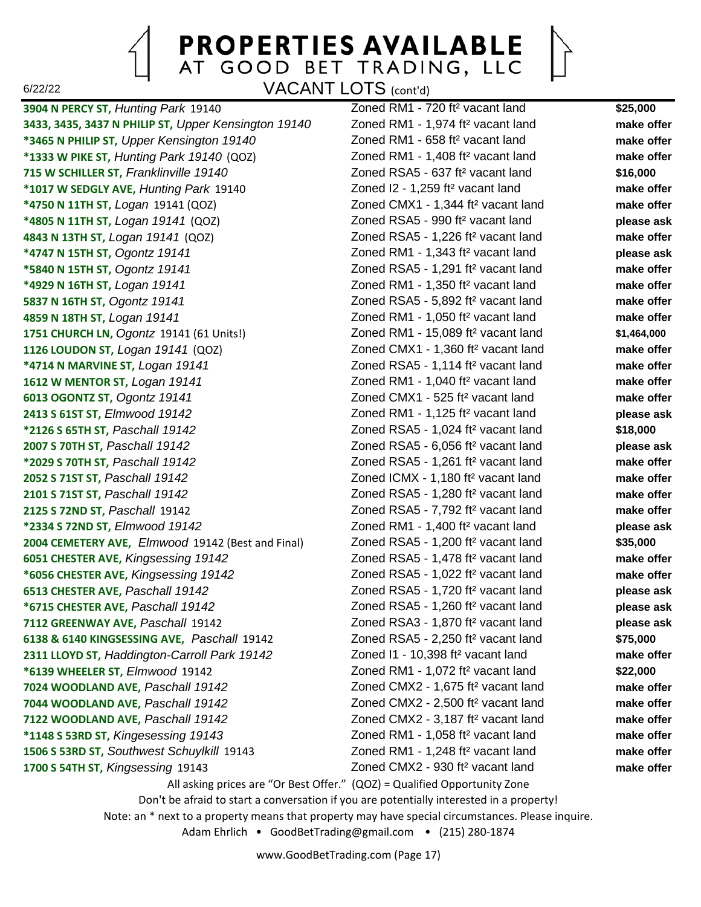**PROPERTIES AVAILABLE** AT GOOD BET TRADING, LLC

VACANT LOTS (cont'd)

**3904 N PERCY ST,** *Hunting Park* 19140 Zoned RM1 - 720 ft² vacant land **\$25,000 3433, 3435, 3437 N PHILIP ST,** *Upper Kensington 19140* Zoned RM1 - 1,974 ft² vacant land **make offer \*3465 N PHILIP ST,** *Upper Kensington 19140* Zoned RM1 - 658 ft² vacant land **make offer \*1333 W PIKE ST,** *Hunting Park 19140* (QOZ) Zoned RM1 - 1,408 ft² vacant land **make offer 715 W SCHILLER ST,** *Franklinville 19140* Zoned RSA5 - 637 ft² vacant land **\$16,000 \*1017 W SEDGLY AVE,** *Hunting Park* 19140 Zoned I2 - 1,259 ft² vacant land **make offer \*4750 N 11TH ST,** *Logan* 19141 (QOZ) Zoned CMX1 - 1,344 ft² vacant land **make offer \*4805 N 11TH ST,** *Logan 19141* (QOZ) Zoned RSA5 - 990 ft² vacant land **please ask 4843 N 13TH ST,** *Logan 19141* (QOZ) Zoned RSA5 - 1,226 ft² vacant land **make offer \*4747 N 15TH ST,** *Ogontz 19141* Zoned RM1 - 1,343 ft² vacant land **please ask \*5840 N 15TH ST,** *Ogontz 19141* Zoned RSA5 - 1,291 ft² vacant land **make offer \*4929 N 16TH ST,** *Logan 19141* Zoned RM1 - 1,350 ft² vacant land **make offer 5837 N 16TH ST,** *Ogontz 19141* Zoned RSA5 - 5,892 ft² vacant land **make offer 4859 N 18TH ST,** *Logan 19141* Zoned RM1 - 1,050 ft² vacant land **make offer 1751 CHURCH LN,** *Ogontz* 19141 (61 Units!) Zoned RM1 - 15,089 ft² vacant land **\$1,464,000 1126 LOUDON ST,** *Logan 19141* (QOZ) Zoned CMX1 - 1,360 ft² vacant land **make offer \*4714 N MARVINE ST,** *Logan 19141* Zoned RSA5 - 1,114 ft² vacant land **make offer 1612 W MENTOR ST,** *Logan 19141* Zoned RM1 - 1,040 ft² vacant land **make offer 6013 OGONTZ ST,** *Ogontz 19141* Zoned CMX1 - 525 ft² vacant land **make offer 2413 S 61ST ST,** *Elmwood 19142* Zoned RM1 - 1,125 ft² vacant land **please ask \*2126 S 65TH ST,** *Paschall 19142* Zoned RSA5 - 1,024 ft² vacant land **\$18,000 2007 S 70TH ST,** *Paschall 19142* Zoned RSA5 - 6,056 ft² vacant land **please ask \*2029 S 70TH ST,** *Paschall 19142* Zoned RSA5 - 1,261 ft² vacant land **make offer 2052 S 71ST ST,** *Paschall 19142* Zoned ICMX - 1,180 ft² vacant land **make offer 2101 S 71ST ST,** *Paschall 19142* Zoned RSA5 - 1,280 ft² vacant land **make offer 2125 S 72ND ST,** *Paschall* 19142 Zoned RSA5 - 7,792 ft² vacant land **make offer \*2334 S 72ND ST,** *Elmwood 19142* Zoned RM1 - 1,400 ft² vacant land **please ask 2004 CEMETERY AVE,** *Elmwood* 19142 (Best and Final) Zoned RSA5 - 1,200 ft² vacant land **\$35,000 6051 CHESTER AVE,** *Kingsessing 19142* Zoned RSA5 - 1,478 ft² vacant land **make offer \*6056 CHESTER AVE,** *Kingsessing 19142* Zoned RSA5 - 1,022 ft² vacant land **make offer 6513 CHESTER AVE,** *Paschall 19142* Zoned RSA5 - 1,720 ft² vacant land **please ask \*6715 CHESTER AVE,** *Paschall 19142* Zoned RSA5 - 1,260 ft² vacant land **please ask 7112 GREENWAY AVE,** *Paschall* 19142 Zoned RSA3 - 1,870 ft² vacant land **please ask 6138 & 6140 KINGSESSING AVE,** *Paschall* 19142 Zoned RSA5 - 2,250 ft² vacant land **\$75,000 2311 LLOYD ST,** *Haddington-Carroll Park 19142* Zoned I1 - 10,398 ft² vacant land **make offer \*6139 WHEELER ST,** *Elmwood* 19142 Zoned RM1 - 1,072 ft² vacant land **\$22,000 7024 WOODLAND AVE,** *Paschall 19142* Zoned CMX2 - 1,675 ft² vacant land **make offer 7044 WOODLAND AVE,** *Paschall 19142* Zoned CMX2 - 2,500 ft² vacant land **make offer 7122 WOODLAND AVE,** *Paschall 19142* Zoned CMX2 - 3,187 ft² vacant land **make offer \*1148 S 53RD ST,** *Kingesessing 19143* Zoned RM1 - 1,058 ft² vacant land **make offer 1506 S 53RD ST,** *Southwest Schuylkill* 19143 Zoned RM1 - 1,248 ft² vacant land **make offer 1700 S 54TH ST,** *Kingsessing* 19143 Zoned CMX2 - 930 ft² vacant land **make offer**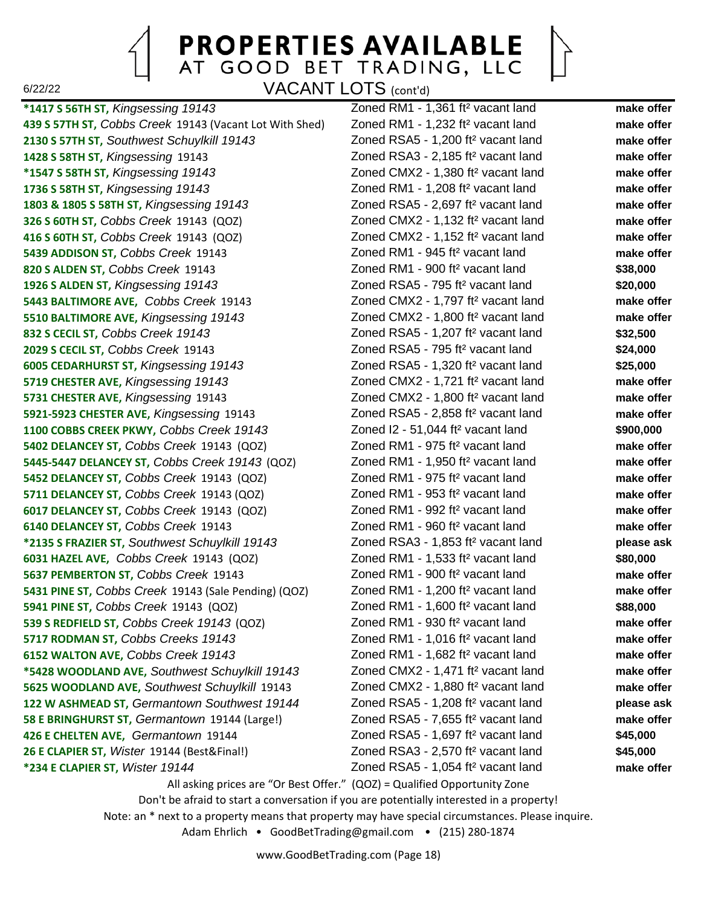**PROPERTIES AVAILABLE** AT GOOD BET TRADING, LLC

VACANT LOTS (cont'd)

**\*1417 S 56TH ST,** *Kingsessing 19143* Zoned RM1 - 1,361 ft² vacant land **make offer 439 S 57TH ST,** *Cobbs Creek* 19143 (Vacant Lot With Shed) Zoned RM1 - 1,232 ft² vacant land **make offer 2130 S 57TH ST,** *Southwest Schuylkill 19143* Zoned RSA5 - 1,200 ft² vacant land **make offer 1428 S 58TH ST,** *Kingsessing* 19143 Zoned RSA3 - 2,185 ft² vacant land **make offer \*1547 S 58TH ST,** *Kingsessing 19143* Zoned CMX2 - 1,380 ft² vacant land **make offer 1736 S 58TH ST,** *Kingsessing 19143* Zoned RM1 - 1,208 ft² vacant land **make offer 1803 & 1805 S 58TH ST,** *Kingsessing 19143* Zoned RSA5 - 2,697 ft² vacant land **make offer 326 S 60TH ST,** *Cobbs Creek* 19143 (QOZ) Zoned CMX2 - 1,132 ft² vacant land **make offer 416 S 60TH ST,** *Cobbs Creek* 19143 (QOZ) Zoned CMX2 - 1,152 ft² vacant land **make offer 5439 ADDISON ST,** *Cobbs Creek* 19143 Zoned RM1 - 945 ft² vacant land **make offer 820 S ALDEN ST,** *Cobbs Creek* 19143 Zoned RM1 - 900 ft² vacant land **\$38,000 1926 S ALDEN ST,** *Kingsessing 19143* Zoned RSA5 - 795 ft² vacant land **\$20,000 5443 BALTIMORE AVE,** *Cobbs Creek* 19143 Zoned CMX2 - 1,797 ft² vacant land **make offer 5510 BALTIMORE AVE,** *Kingsessing 19143* Zoned CMX2 - 1,800 ft² vacant land **make offer 832 S CECIL ST,** *Cobbs Creek 19143* Zoned RSA5 - 1,207 ft² vacant land **\$32,500 2029 S CECIL ST,** *Cobbs Creek* 19143 Zoned RSA5 - 795 ft² vacant land **\$24,000 6005 CEDARHURST ST,** *Kingsessing 19143* Zoned RSA5 - 1,320 ft² vacant land **\$25,000 5719 CHESTER AVE,** *Kingsessing 19143* Zoned CMX2 - 1,721 ft² vacant land **make offer 5731 CHESTER AVE,** *Kingsessing* 19143 Zoned CMX2 - 1,800 ft² vacant land **make offer 5921-5923 CHESTER AVE,** *Kingsessing* 19143 Zoned RSA5 - 2,858 ft² vacant land **make offer 1100 COBBS CREEK PKWY,** *Cobbs Creek 19143* Zoned I2 - 51,044 ft² vacant land **\$900,000 5402 DELANCEY ST,** *Cobbs Creek* 19143 (QOZ) Zoned RM1 - 975 ft² vacant land **make offer 5445-5447 DELANCEY ST,** *Cobbs Creek 19143* (QOZ) Zoned RM1 - 1,950 ft² vacant land **make offer 5452 DELANCEY ST,** *Cobbs Creek* 19143 (QOZ) Zoned RM1 - 975 ft² vacant land **make offer 5711 DELANCEY ST,** *Cobbs Creek* 19143 (QOZ) Zoned RM1 - 953 ft² vacant land **make offer 6017 DELANCEY ST,** *Cobbs Creek* 19143 (QOZ) Zoned RM1 - 992 ft² vacant land **make offer 6140 DELANCEY ST,** *Cobbs Creek* 19143 Zoned RM1 - 960 ft² vacant land **make offer \*2135 S FRAZIER ST,** *Southwest Schuylkill 19143* Zoned RSA3 - 1,853 ft² vacant land **please ask 6031 HAZEL AVE,** *Cobbs Creek* 19143 (QOZ) Zoned RM1 - 1,533 ft² vacant land **\$80,000 5637 PEMBERTON ST,** *Cobbs Creek* 19143 Zoned RM1 - 900 ft² vacant land **make offer 5431 PINE ST,** *Cobbs Creek* 19143 (Sale Pending) (QOZ) Zoned RM1 - 1,200 ft² vacant land **make offer 5941 PINE ST,** *Cobbs Creek* 19143 (QOZ) Zoned RM1 - 1,600 ft² vacant land **\$88,000 539 S REDFIELD ST,** *Cobbs Creek 19143* (QOZ) Zoned RM1 - 930 ft² vacant land **make offer 5717 RODMAN ST,** *Cobbs Creeks 19143* Zoned RM1 - 1,016 ft² vacant land **make offer 6152 WALTON AVE,** *Cobbs Creek 19143* Zoned RM1 - 1,682 ft² vacant land **make offer \*5428 WOODLAND AVE,** *Southwest Schuylkill 19143* Zoned CMX2 - 1,471 ft² vacant land **make offer 5625 WOODLAND AVE,** *Southwest Schuylkill* 19143 Zoned CMX2 - 1,880 ft² vacant land **make offer 122 W ASHMEAD ST,** *Germantown Southwest 19144* Zoned RSA5 - 1,208 ft² vacant land **please ask 58 E BRINGHURST ST,** *Germantown* 19144 (Large!) Zoned RSA5 - 7,655 ft² vacant land **make offer 426 E CHELTEN AVE,** *Germantown* 19144 Zoned RSA5 - 1,697 ft² vacant land **\$45,000 26 E CLAPIER ST,** *Wister* 19144 (Best&Final!) Zoned RSA3 - 2,570 ft² vacant land **\$45,000 \*234 E CLAPIER ST,** *Wister 19144* Zoned RSA5 - 1,054 ft² vacant land **make offer**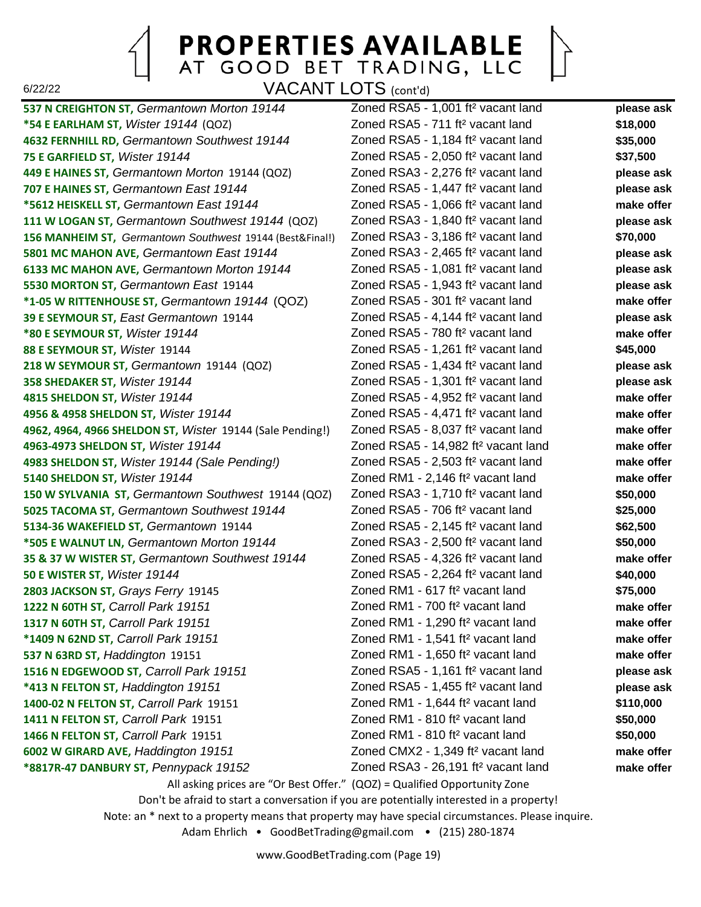# **PROPERTIES AVAILABLE** AT GOOD BET TRADING, LLC

VACANT LOTS (cont'd)

**537 N CREIGHTON ST,** *Germantown Morton 19144* Zoned RSA5 - 1,001 ft² vacant land **please ask \*54 E EARLHAM ST,** *Wister 19144* (QOZ) Zoned RSA5 - 711 ft² vacant land **\$18,000 4632 FERNHILL RD,** *Germantown Southwest 19144* Zoned RSA5 - 1,184 ft² vacant land **\$35,000 75 E GARFIELD ST,** *Wister 19144* Zoned RSA5 - 2,050 ft² vacant land **\$37,500 449 E HAINES ST,** *Germantown Morton* 19144 (QOZ) Zoned RSA3 - 2,276 ft² vacant land **please ask 707 E HAINES ST,** *Germantown East 19144* Zoned RSA5 - 1,447 ft² vacant land **please ask \*5612 HEISKELL ST,** *Germantown East 19144* Zoned RSA5 - 1,066 ft² vacant land **make offer 111 W LOGAN ST,** *Germantown Southwest 19144* (QOZ) Zoned RSA3 - 1,840 ft² vacant land **please ask 156 MANHEIM ST,** *Germantown Southwest* 19144 (Best&Final!) Zoned RSA3 - 3,186 ft² vacant land **\$70,000 5801 MC MAHON AVE,** *Germantown East 19144* Zoned RSA3 - 2,465 ft² vacant land **please ask 6133 MC MAHON AVE,** *Germantown Morton 19144* Zoned RSA5 - 1,081 ft² vacant land **please ask 5530 MORTON ST,** *Germantown East* 19144 Zoned RSA5 - 1,943 ft² vacant land **please ask \*1-05 W RITTENHOUSE ST,** *Germantown 19144* (QOZ) Zoned RSA5 - 301 ft² vacant land **make offer 39 E SEYMOUR ST,** *East Germantown* 19144 Zoned RSA5 - 4,144 ft² vacant land **please ask \*80 E SEYMOUR ST,** *Wister 19144* Zoned RSA5 - 780 ft² vacant land **make offer 88 E SEYMOUR ST,** *Wister* 19144 Zoned RSA5 - 1,261 ft² vacant land **\$45,000 218 W SEYMOUR ST,** *Germantown* 19144 (QOZ) Zoned RSA5 - 1,434 ft² vacant land **please ask 358 SHEDAKER ST,** *Wister 19144* Zoned RSA5 - 1,301 ft² vacant land **please ask 4815 SHELDON ST,** *Wister 19144* Zoned RSA5 - 4,952 ft² vacant land **make offer 4956 & 4958 SHELDON ST,** *Wister 19144* Zoned RSA5 - 4,471 ft² vacant land **make offer 4962, 4964, 4966 SHELDON ST,** *Wister* 19144 (Sale Pending!) Zoned RSA5 - 8,037 ft² vacant land **make offer 4963-4973 SHELDON ST,** *Wister 19144* Zoned RSA5 - 14,982 ft² vacant land **make offer 4983 SHELDON ST,** *Wister 19144 (Sale Pending!)* Zoned RSA5 - 2,503 ft² vacant land **make offer 5140 SHELDON ST,** *Wister 19144* Zoned RM1 - 2,146 ft² vacant land **make offer 150 W SYLVANIA ST,** *Germantown Southwest* 19144 (QOZ) Zoned RSA3 - 1,710 ft² vacant land **\$50,000 5025 TACOMA ST,** *Germantown Southwest 19144* Zoned RSA5 - 706 ft² vacant land **\$25,000 5134-36 WAKEFIELD ST,** *Germantown* 19144 Zoned RSA5 - 2,145 ft² vacant land **\$62,500 \*505 E WALNUT LN,** *Germantown Morton 19144* Zoned RSA3 - 2,500 ft² vacant land **\$50,000 35 & 37 W WISTER ST,** *Germantown Southwest 19144* Zoned RSA5 - 4,326 ft² vacant land **make offer 50 E WISTER ST,** *Wister 19144* Zoned RSA5 - 2,264 ft² vacant land **\$40,000 2803 JACKSON ST,** *Grays Ferry* 19145 Zoned RM1 - 617 ft² vacant land **\$75,000 1222 N 60TH ST,** *Carroll Park 19151* Zoned RM1 - 700 ft² vacant land **make offer 1317 N 60TH ST,** *Carroll Park 19151* Zoned RM1 - 1,290 ft² vacant land **make offer \*1409 N 62ND ST,** *Carroll Park 19151* Zoned RM1 - 1,541 ft² vacant land **make offer 537 N 63RD ST,** *Haddington* 19151 Zoned RM1 - 1,650 ft² vacant land **make offer 1516 N EDGEWOOD ST,** *Carroll Park 19151* Zoned RSA5 - 1,161 ft² vacant land **please ask \*413 N FELTON ST,** *Haddington 19151* Zoned RSA5 - 1,455 ft² vacant land **please ask 1400-02 N FELTON ST,** *Carroll Park* 19151 Zoned RM1 - 1,644 ft² vacant land **\$110,000 1411 N FELTON ST,** *Carroll Park* 19151 Zoned RM1 - 810 ft² vacant land **\$50,000 1466 N FELTON ST,** *Carroll Park* 19151 Zoned RM1 - 810 ft² vacant land **\$50,000 6002 W GIRARD AVE,** *Haddington 19151* Zoned CMX2 - 1,349 ft² vacant land **make offer \*8817R-47 DANBURY ST,** *Pennypack 19152* Zoned RSA3 - 26,191 ft² vacant land **make offer** All asking prices are "Or Best Offer." (QOZ) = Qualified Opportunity Zone

Adam Ehrlich • GoodBetTrading@gmail.com • (215) 280-1874 www.GoodBetTrading.com (Page 19)

Don't be afraid to start a conversation if you are potentially interested in a property! Note: an \* next to a property means that property may have special circumstances. Please inquire.